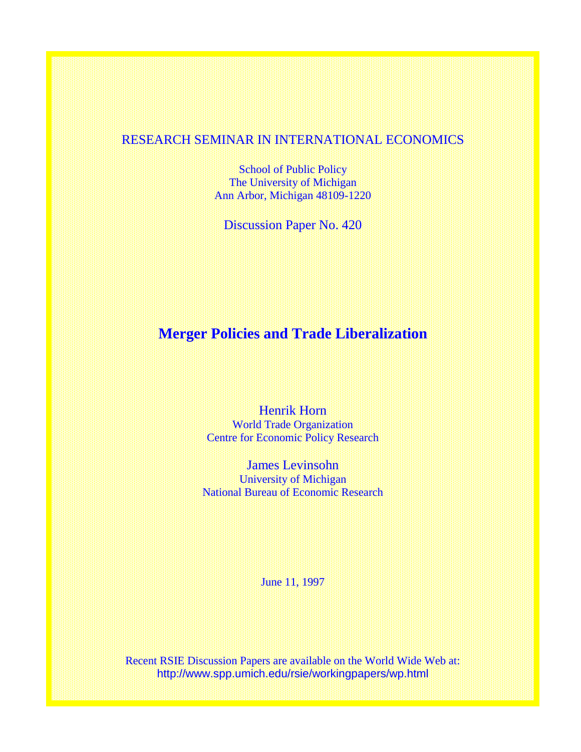# RESEARCH SEMINAR IN INTERNATIONAL ECONOMICS

School of Public Policy The University of Michigan Ann Arbor, Michigan 48109-1220

Discussion Paper No. 420

# **Merger Policies and Trade Liberalization**

Henrik Horn World Trade Organization Centre for Economic Policy Research

James Levinsohn University of Michigan National Bureau of Economic Research

June 11, 1997

Recent RSIE Discussion Papers are available on the World Wide Web at: http://www.spp.umich.edu/rsie/workingpapers/wp.html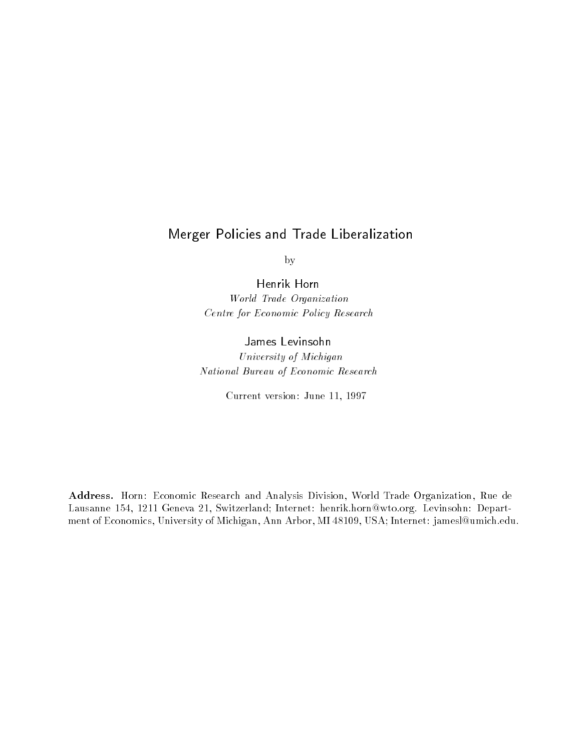# Merger Policies and Trade Liberalization

by

Henrik Horn

World Trade Organization Centre for Economic Policy Research

# James Levinsohn

University of Michigan National Bureau of Economic Research

Current version: June 11, 1997

Address. Horn: Economic Research and Analysis Division, World Trade Organization, Rue de Lausanne 154, 1211 Geneva 21, Switzerland; Internet: henrik.horn@wto.org. Levinsohn: Department of Economics, University of Michigan, Ann Arbor, MI 48109, USA; Internet: jamesl@umich.edu.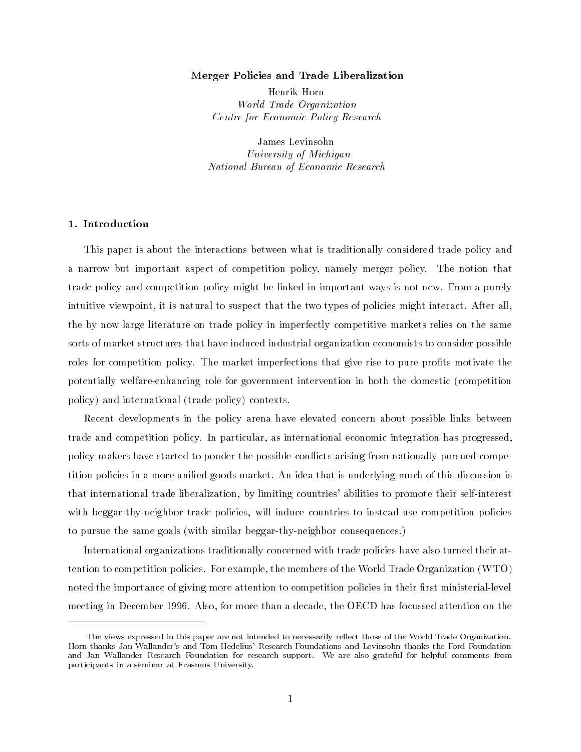#### Merger Policies and Trade Liberalization

Henrik Horn World Trade Organization Centre for Economic Policy Research

James Levinsohn University of Michigan National Bureau of Economic Research

# 1. Introduction

This paper is about the interactions between what is traditionally considered trade policy and a narrow but important aspect of competition policy, namely merger policy. The notion that trade policy and competition policy might be linked in important ways is not new. From a purely intuitive viewpoint, it is natural to suspect that the two types of policies might interact. After all, the by now large literature on trade policy in imperfectly competitive markets relies on the same sorts of market structures that have induced industrial organization economists to consider possible roles for competition policy. The market imperfections that give rise to pure profits motivate the potentially welfare-enhancing role for government intervention in both the domestic (competition policy) and international (trade policy) contexts.

Recent developments in the policy arena have elevated concern about possible links between trade and competition policy. In particular, as international economic integration has progressed, policy makers have started to ponder the possible conflicts arising from nationally pursued competition policies in a more unied goods market. An idea that is underlying much of this discussion is that international trade liberalization, by limiting countries' abilities to promote their self-interest with beggar-thy-neighbor trade policies, will induce countries to instead use competition policies to pursue the same goals (with similar beggar-thy-neighbor consequences.)

International organizations traditionally concerned with trade policies have also turned their attention to competition policies. For example, the members of the World Trade Organization (WTO) noted the importance of giving more attention to competition policies in their first ministerial-level meeting in December 1996. Also, for more than a decade, the OECD has focussed attention on the

The views expressed in this paper are not intended to necessarily reflect those of the World Trade Organization. Horn thanks Jan Wallander's and Tom Hedelius' Research Foundations and Levinsohn thanks the Ford Foundation and Jan Wallander Research Foundation for research support. We are also grateful for helpful comments from participants in a seminar at Erasmus University.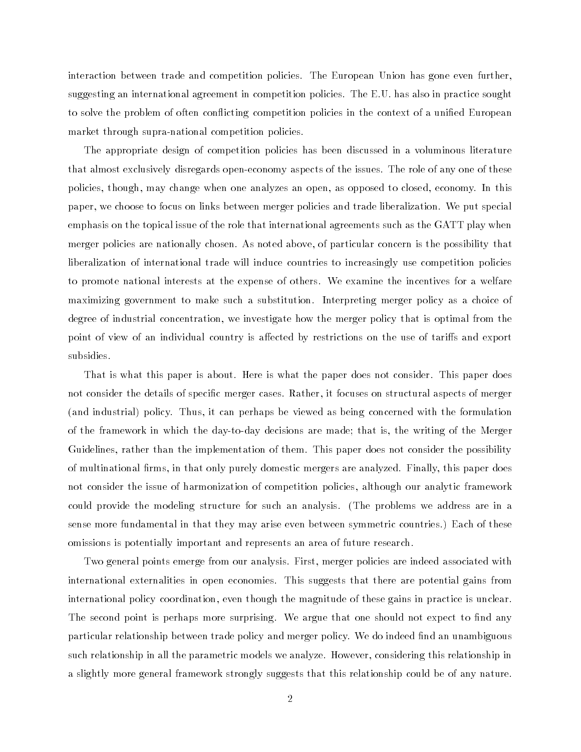interaction between trade and competition policies. The European Union has gone even further, suggesting an international agreement in competition policies. The E.U. has also in practice sought to solve the problem of often conflicting competition policies in the context of a unified European market through supra-national competition policies.

The appropriate design of competition policies has been discussed in a voluminous literature that almost exclusively disregards open-economy aspects of the issues. The role of any one of these policies, though, may change when one analyzes an open, as opposed to closed, economy. In this paper, we choose to focus on links between merger policies and trade liberalization. We put special emphasis on the topical issue of the role that international agreements such as the GATT play when merger policies are nationally chosen. As noted above, of particular concern is the possibility that liberalization of international trade will induce countries to increasingly use competition policies to promote national interests at the expense of others. We examine the incentives for a welfare maximizing government to make such a substitution. Interpreting merger policy as a choice of degree of industrial concentration, we investigate how the merger policy that is optimal from the point of view of an individual country is affected by restrictions on the use of tariffs and export subsidies.

That is what this paper is about. Here is what the paper does not consider. This paper does not consider the details of specific merger cases. Rather, it focuses on structural aspects of merger (and industrial) policy. Thus, it can perhaps be viewed as being concerned with the formulation of the framework in which the day-to-day decisions are made; that is, the writing of the Merger Guidelines, rather than the implementation of them. This paper does not consider the possibility of multinational firms, in that only purely domestic mergers are analyzed. Finally, this paper does not consider the issue of harmonization of competition policies, although our analytic framework could provide the modeling structure for such an analysis. (The problems we address are in a sense more fundamental in that they may arise even between symmetric countries.) Each of these omissions is potentially important and represents an area of future research.

Two general points emerge from our analysis. First, merger policies are indeed associated with international externalities in open economies. This suggests that there are potential gains from international policy coordination, even though the magnitude of these gains in practice is unclear. The second point is perhaps more surprising. We argue that one should not expect to find any particular relationship between trade policy and merger policy. We do indeed find an unambiguous such relationship in all the parametric models we analyze. However, considering this relationship in a slightly more general framework strongly suggests that this relationship could be of any nature.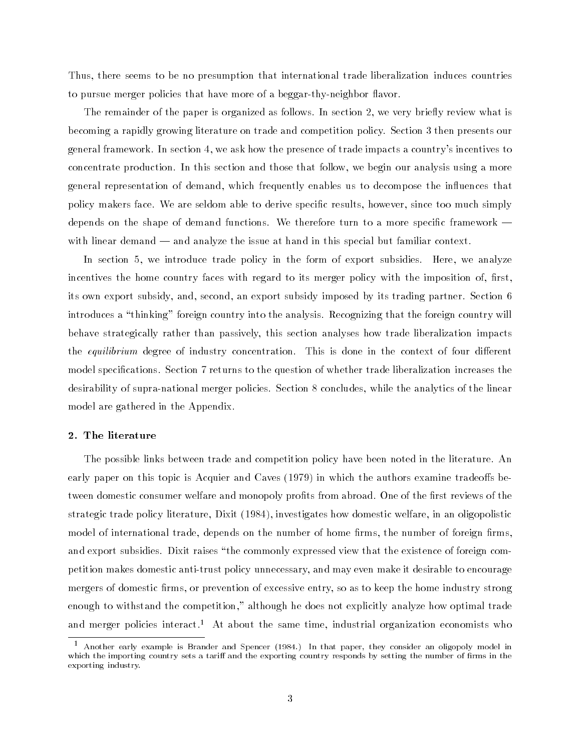Thus, there seems to be no presumption that international trade liberalization induces countries to pursue merger policies that have more of a beggar-thy-neighbor flavor.

The remainder of the paper is organized as follows. In section 2, we very briefly review what is becoming a rapidly growing literature on trade and competition policy. Section 3 then presents our general framework. In section 4, we ask how the presence of trade impacts a country's incentives to concentrate production. In this section and those that follow, we begin our analysis using a more general representation of demand, which frequently enables us to decompose the in
uences that policy makers face. We are seldom able to derive specic results, however, since too much simply depends on the shape of demand functions. We therefore turn to a more specific framework  $$ with linear demand — and analyze the issue at hand in this special but familiar context.

In section 5, we introduce trade policy in the form of export subsidies. Here, we analyze incentives the home country faces with regard to its merger policy with the imposition of, first, its own export subsidy, and, second, an export subsidy imposed by its trading partner. Section 6 introduces a "thinking" foreign country into the analysis. Recognizing that the foreign country will behave strategically rather than passively, this section analyses how trade liberalization impacts the equilibrium degree of industry concentration. This is done in the context of four different model specifications. Section 7 returns to the question of whether trade liberalization increases the desirability of supra-national merger policies. Section 8 concludes, while the analytics of the linear model are gathered in the Appendix.

#### 2. The literature

The possible links between trade and competition policy have been noted in the literature. An early paper on this topic is Acquier and Caves (1979) in which the authors examine tradeoffs between domestic consumer welfare and monopoly profits from abroad. One of the first reviews of the strategic trade policy literature, Dixit (1984), investigates how domestic welfare, in an oligopolistic model of international trade, depends on the number of home firms, the number of foreign firms. and export subsidies. Dixit raises "the commonly expressed view that the existence of foreign competition makes domestic anti-trust policy unnecessary, and may even make it desirable to encourage mergers of domestic firms, or prevention of excessive entry, so as to keep the home industry strong enough to withstand the competition," although he does not explicitly analyze how optimal trade and merger policies interact.<sup>1</sup> At about the same time, industrial organization economists who

<sup>1</sup> Another early example is Brander and Spencer (1984.) In that paper, they consider an oligopoly model in which the importing country sets a tariff and the exporting country responds by setting the number of firms in the exporting industry.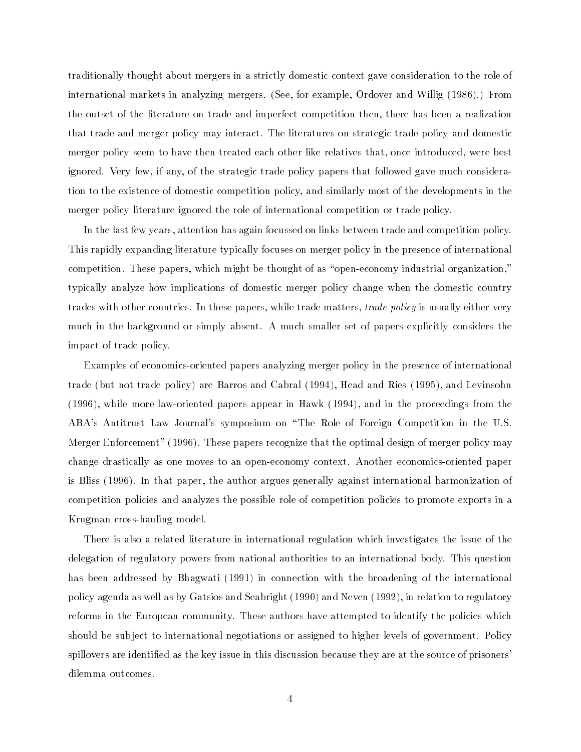traditionally thought about mergers in a strictly domestic context gave consideration to the role of international markets in analyzing mergers. (See, for example, Ordover and Willig (1986).) From the outset of the literature on trade and imperfect competition then, there has been a realization that trade and merger policy may interact. The literatures on strategic trade policy and domestic merger policy seem to have then treated each other like relatives that, once introduced, were best ignored. Very few, if any, of the strategic trade policy papers that followed gave much consideration to the existence of domestic competition policy, and similarly most of the developments in the merger policy literature ignored the role of international competition or trade policy.

In the last few years, attention has again focussed on links between trade and competition policy. This rapidly expanding literature typically focuses on merger policy in the presence of international competition. These papers, which might be thought of as "open-economy industrial organization," typically analyze how implications of domestic merger policy change when the domestic country trades with other countries. In these papers, while trade matters, *trade policy* is usually either very much in the background or simply absent. A much smaller set of papers explicitly considers the impact of trade policy.

Examples of economics-oriented papers analyzing merger policy in the presence of international trade (but not trade policy) are Barros and Cabral (1994), Head and Ries (1995), and Levinsohn (1996), while more law-oriented papers appear in Hawk (1994), and in the proceedings from the ABA's Antitrust Law Journal's symposium on \The Role of Foreign Competition in the U.S. Merger Enforcement" (1996). These papers recognize that the optimal design of merger policy may change drastically as one moves to an open-economy context. Another economics-oriented paper is Bliss (1996). In that paper, the author argues generally against international harmonization of competition policies and analyzes the possible role of competition policies to promote exports in a Krugman cross-hauling model.

There is also a related literature in international regulation which investigates the issue of the delegation of regulatory powers from national authorities to an international body. This question has been addressed by Bhagwati (1991) in connection with the broadening of the international policy agenda as well as by Gatsios and Seabright (1990) and Neven (1992), in relation to regulatory reforms in the European community. These authors have attempted to identify the policies which should be sub ject to international negotiations or assigned to higher levels of government. Policy spillovers are identified as the key issue in this discussion because they are at the source of prisoners' dilemma outcomes.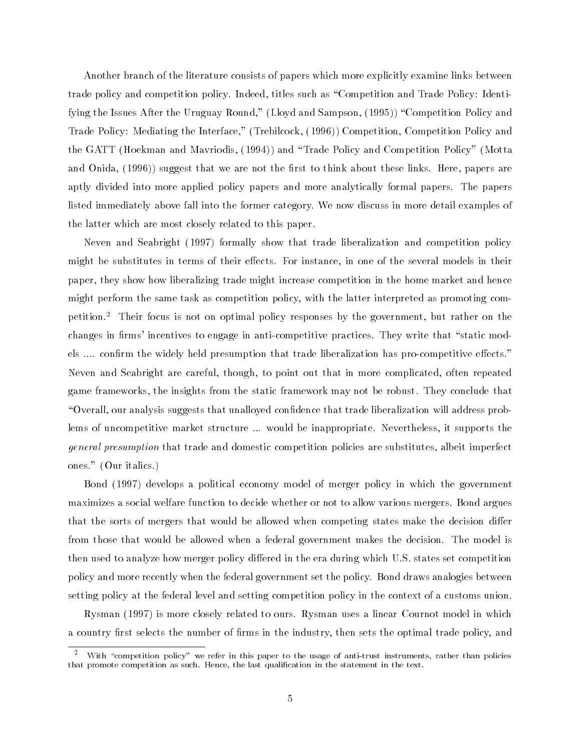Another branch of the literature consists of papers which more explicitly examine links between trade policy and competition policy. Indeed, titles such as \Competition and Trade Policy: Identifying the Issues After the Uruguay Round," (Lloyd and Sampson, (1995)) "Competition Policy and Trade Policy: Mediating the Interface," (Trebilcock, (1996)) Competition, Competition Policy and the GATT (Hoekman and Mavriodis, (1994)) and \Trade Policy and Competition Policy" (Motta and Onida, (1996)) suggest that we are not the first to think about these links. Here, papers are aptly divided into more applied policy papers and more analytically formal papers. The papers listed immediately above fall into the former category. We now discuss in more detail examples of the latter which are most closely related to this paper.

Neven and Seabright (1997) formally show that trade liberalization and competition policy might be substitutes in terms of their effects. For instance, in one of the several models in their paper, they show how liberalizing trade might increase competition in the home market and hence might perform the same task as competition policy, with the latter interpreted as promoting competition.2 Their focus is not on optimal policy responses by the government, but rather on the changes in firms' incentives to engage in anti-competitive practices. They write that "static models .... confirm the widely held presumption that trade liberalization has pro-competitive effects." Neven and Seabright are careful, though, to point out that in more complicated, often repeated game frameworks, the insights from the static framework may not be robust. They conclude that \Overall, our analysis suggests that unalloyed condence that trade liberalization will address problems of uncompetitive market structure ... would be inappropriate. Nevertheless, it supports the general presumption that trade and domestic competition policies are substitutes, albeit imperfect ones." (Our italics.)

Bond (1997) develops a political economy model of merger policy in which the government maximizes a social welfare function to decide whether or not to allow various mergers. Bond argues that the sorts of mergers that would be allowed when competing states make the decision differ from those that would be allowed when a federal government makes the decision. The model is then used to analyze how merger policy differed in the era during which U.S. states set competition policy and more recently when the federal government set the policy. Bond draws analogies between setting policy at the federal level and setting competition policy in the context of a customs union.

Rysman (1997) is more closely related to ours. Rysman uses a linear Cournot model in which a country first selects the number of firms in the industry, then sets the optimal trade policy, and

 $^+$  With "competition policy" we refer in this paper to the usage of anti-trust instruments, rather than policies that promote competition as such. Hence, the last qualication in the statement in the text.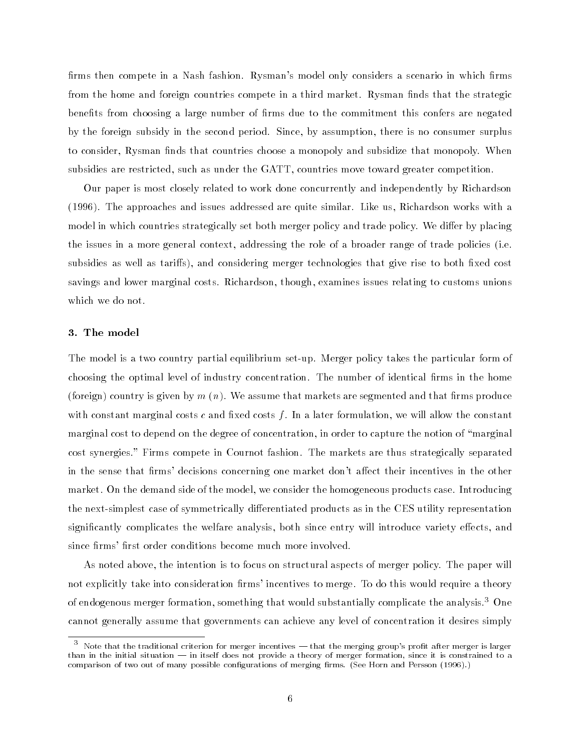firms then compete in a Nash fashion. Rysman's model only considers a scenario in which firms from the home and foreign countries compete in a third market. Rysman finds that the strategic benefits from choosing a large number of firms due to the commitment this confers are negated by the foreign subsidy in the second period. Since, by assumption, there is no consumer surplus to consider, Rysman finds that countries choose a monopoly and subsidize that monopoly. When subsidies are restricted, such as under the GATT, countries move toward greater competition.

Our paper is most closely related to work done concurrently and independently by Richardson (1996). The approaches and issues addressed are quite similar. Like us, Richardson works with a model in which countries strategically set both merger policy and trade policy. We differ by placing the issues in a more general context, addressing the role of a broader range of trade policies (i.e. subsidies as well as tariffs), and considering merger technologies that give rise to both fixed cost savings and lower marginal costs. Richardson, though, examines issues relating to customs unions which we do not.

#### 3. The model

The model is a two country partial equilibrium set-up. Merger policy takes the particular form of choosing the optimal level of industry concentration. The number of identical firms in the home (foreign) country is given by  $m(n)$ . We assume that markets are segmented and that firms produce with constant marginal costs  $c$  and fixed costs  $f$ . In a later formulation, we will allow the constant marginal cost to depend on the degree of concentration, in order to capture the notion of "marginal" cost synergies." Firms compete in Cournot fashion. The markets are thus strategically separated in the sense that firms' decisions concerning one market don't affect their incentives in the other market. On the demand side of the model, we consider the homogeneous products case. Introducing the next-simplest case of symmetrically differentiated products as in the CES utility representation significantly complicates the welfare analysis, both since entry will introduce variety effects, and since firms' first order conditions become much more involved.

As noted above, the intention is to focus on structural aspects of merger policy. The paper will not explicitly take into consideration firms' incentives to merge. To do this would require a theory of endogenous merger formation, something that would substantially complicate the analysis.<sup>3</sup> One cannot generally assume that governments can achieve any level of concentration it desires simply

 $\degree$  Note that the traditional criterion for merger incentives — that the merging group's profit after merger is larger than in the initial situation — in itself does not provide a theory of merger formation, since it is constrained to a comparison of two out of many possible configurations of merging firms. (See Horn and Persson (1996).)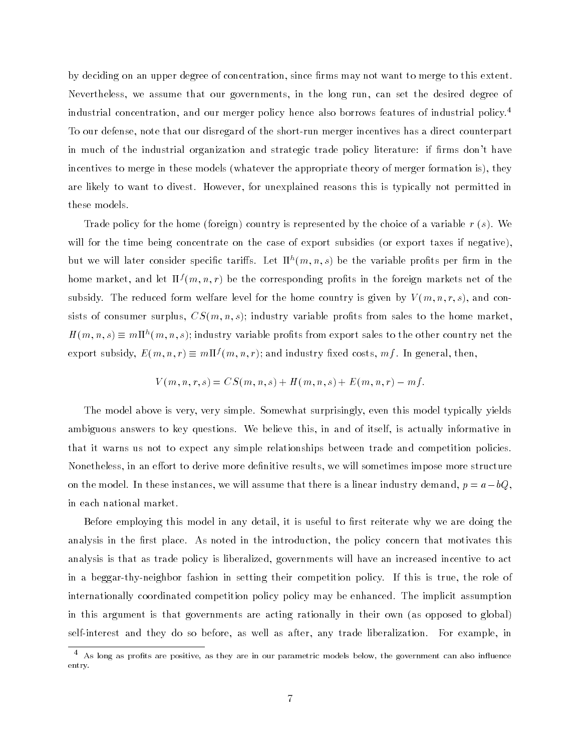by deciding on an upper degree of concentration, since firms may not want to merge to this extent. Nevertheless, we assume that our governments, in the long run, can set the desired degree of industrial concentration, and our merger policy hence also borrows features of industrial policy.4 To our defense, note that our disregard of the short-run merger incentives has a direct counterpart in much of the industrial organization and strategic trade policy literature: if firms don't have incentives to merge in these models (whatever the appropriate theory of merger formation is), they are likely to want to divest. However, for unexplained reasons this is typically not permitted in these models.

Trade policy for the home (foreign) country is represented by the choice of a variable  $r(s)$ . We will for the time being concentrate on the case of export subsidies (or export taxes if negative), but we will later consider specific tarifis. Let  $\Pi^n(m,n,s)$  be the variable profits per firm in the home market, and let  $\Pi^s(m,n,r)$  be the corresponding pronts in the foreign markets net of the subsidy. The reduced form welfare level for the home country is given by  $V(m, n, r, s)$ , and consists of consumer surplus,  $CS(m, n, s)$ ; industry variable profits from sales to the home market.  $H(m,n,s)\equiv m\Pi^{n}(m,n,s)$ ; industry variable profits from export sales to the other country net the export subsidy,  $E(m,n,r) \equiv m \Pi'(m,n,r)$ ; and industry fixed costs,  $m \tau$ . In general, then,

$$
V(m, n, r, s) = CS(m, n, s) + H(m, n, s) + E(m, n, r) - mf.
$$

The model above is very, very simple. Somewhat surprisingly, even this model typically yields ambiguous answers to key questions. We believe this, in and of itself, is actually informative in that it warns us not to expect any simple relationships between trade and competition policies. Nonetheless, in an effort to derive more definitive results, we will sometimes impose more structure on the model. In these instances, we will assume that there is a linear industry demand,  $p = a - bQ$ . in each national market.

Before employing this model in any detail, it is useful to first reiterate why we are doing the analysis in the first place. As noted in the introduction, the policy concern that motivates this analysis is that as trade policy is liberalized, governments will have an increased incentive to act in a beggar-thy-neighbor fashion in setting their competition policy. If this is true, the role of internationally coordinated competition policy policy may be enhanced. The implicit assumption in this argument is that governments are acting rationally in their own (as opposed to global) self-interest and they do so before, as well as after, any trade liberalization. For example, in

 $^\circ$  As long as profits are positive, as they are in our parametric models below, the government can also influence entry.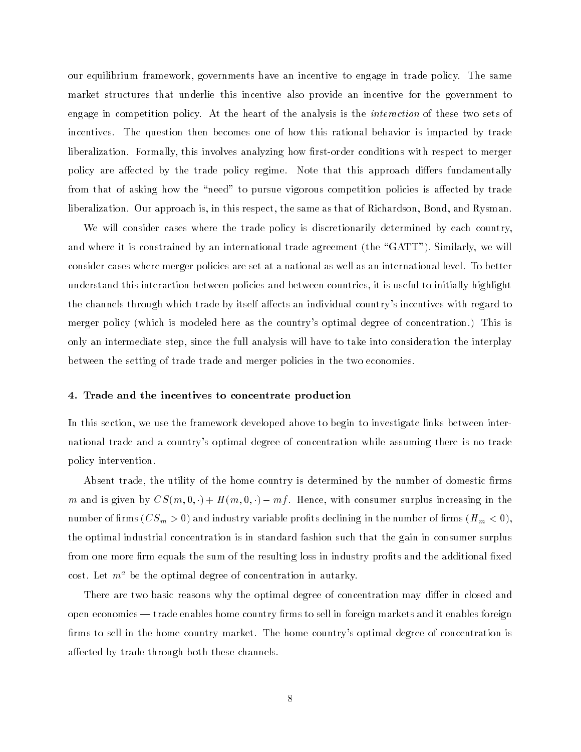our equilibrium framework, governments have an incentive to engage in trade policy. The same market structures that underlie this incentive also provide an incentive for the government to engage in competition policy. At the heart of the analysis is the interaction of these two sets of incentives. The question then becomes one of how this rational behavior is impacted by trade liberalization. Formally, this involves analyzing how first-order conditions with respect to merger policy are affected by the trade policy regime. Note that this approach differs fundamentally from that of asking how the "need" to pursue vigorous competition policies is affected by trade liberalization. Our approach is, in this respect, the same as that of Richardson, Bond, and Rysman.

We will consider cases where the trade policy is discretionarily determined by each country, and where it is constrained by an international trade agreement (the "GATT"). Similarly, we will consider cases where merger policies are set at a national as well as an international level. To better understand this interaction between policies and between countries, it is useful to initially highlight the channels through which trade by itself affects an individual country's incentives with regard to merger policy (which is modeled here as the country's optimal degree of concentration.) This is only an intermediate step, since the full analysis will have to take into consideration the interplay between the setting of trade trade and merger policies in the two economies.

#### 4. Trade and the incentives to concentrate production

In this section, we use the framework developed above to begin to investigate links between international trade and a country's optimal degree of concentration while assuming there is no trade policy intervention.

Absent trade, the utility of the home country is determined by the number of domestic firms m and is given by  $CS(m, 0, \cdot) + H(m, 0, \cdot) - mf$ . Hence, with consumer surplus increasing in the number of the set  $\{e, e\}$  and industry variable proteins declining in the number of the number  $\{e, e\}$ the optimal industrial concentration is in standard fashion such that the gain in consumer surplus from one more firm equals the sum of the resulting loss in industry profits and the additional fixed cost. Let  $m^a$  be the optimal degree of concentration in autarky.

There are two basic reasons why the optimal degree of concentration may differ in closed and open economies — trade enables home country firms to sell in foreign markets and it enables foreign firms to sell in the home country market. The home country's optimal degree of concentration is affected by trade through both these channels.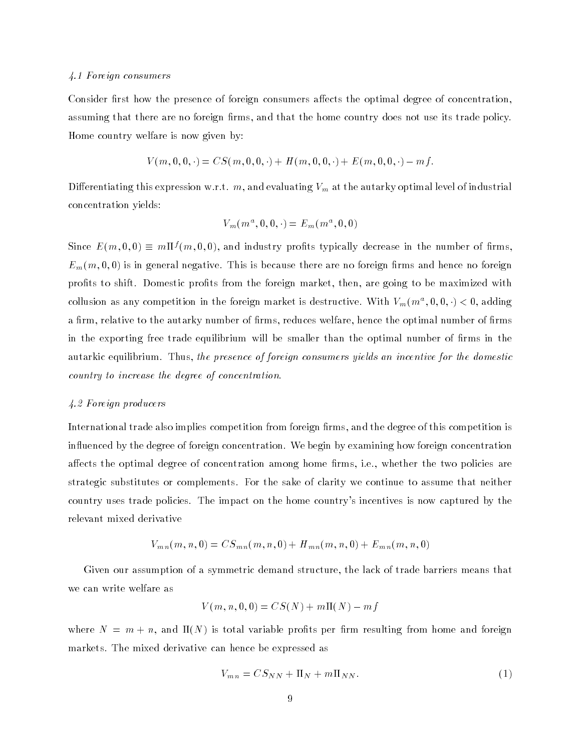#### 4.1 Foreign consumers

Consider first how the presence of foreign consumers affects the optimal degree of concentration. assuming that there are no foreign firms, and that the home country does not use its trade policy. Home country welfare is now given by:

$$
V(m,0,0,\cdot) = CS(m,0,0,\cdot) + H(m,0,0,\cdot) + E(m,0,0,\cdot) - mf.
$$

Dierentiating this expression w.r.t. m, and evaluating Vm at the autarky optimal level of industrial concentration yields:

$$
V_m(m^a,0,0,\cdot)=E_m(m^a,0,0)
$$

Since  $E(m,0,0) \equiv m \Pi^{\gamma}(m,0,0)$ , and industry profits typically decrease in the number of firms,  $E_m(m, 0, 0)$  is in general negative. This is because there are no foreign firms and hence no foreign prots to shift. Domestic prots from the foreign market, then, are going to be maximized with collusion as any competition in the foreign market is destructive. With  $V_m(m^*,0,0,1)< 0$ , adding a firm, relative to the autarky number of firms, reduces welfare, hence the optimal number of firms in the exporting free trade equilibrium will be smaller than the optimal number of firms in the autarkic equilibrium. Thus, the presence of foreign consumers yields an incentive for the domestic country to increase the degree of concentration.

#### 4.2 Foreign producers

International trade also implies competition from foreign firms, and the degree of this competition is in
uenced by the degree of foreign concentration. We begin by examining how foreign concentration affects the optimal degree of concentration among home firms, i.e., whether the two policies are strategic substitutes or complements. For the sake of clarity we continue to assume that neither country uses trade policies. The impact on the home country's incentives is now captured by the relevant mixed derivative

$$
V_{mn}(m,n,0) = CS_{mn}(m,n,0) + H_{mn}(m,n,0) + E_{mn}(m,n,0)
$$

Given our assumption of a symmetric demand structure, the lack of trade barriers means that we can write welfare as

$$
V(m, n, 0, 0) = CS(N) + m\Pi(N) - mf
$$

where  $N = m + n$ , and  $\Pi(N)$  is total variable profits per firm resulting from home and foreign markets. The mixed derivative can hence be expressed as

$$
V_{mn} = CS_{NN} + \Pi_N + m\Pi_{NN}.\tag{1}
$$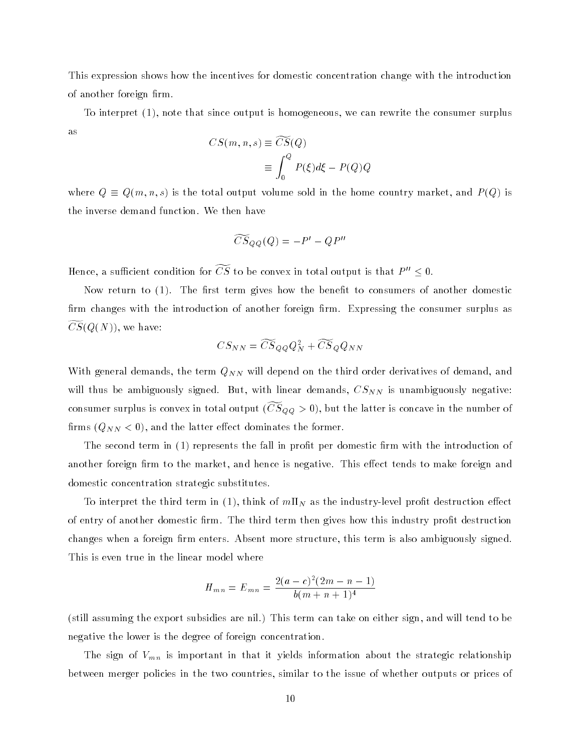This expression shows how the incentives for domestic concentration change with the introduction of another foreign firm.

To interpret (1), note that since output is homogeneous, we can rewrite the consumer surplus as

$$
CS(m, n, s) \equiv CS(Q)
$$
  

$$
\equiv \int_0^Q P(\xi) d\xi - P(Q)Q
$$

where  $Q \equiv Q(m, n, s)$  is the total output volume sold in the home country market, and  $P(Q)$  is the inverse demand function. We then have

$$
\widetilde{CS}_{QQ}(Q) = -P' - QP''
$$

Hence, a sufficient condition for  $\widetilde{CS}$  to be convex in total output is that  $P'' \leq 0$ .

Now return to  $(1)$ . The first term gives how the benefit to consumers of another domestic firm changes with the introduction of another foreign firm. Expressing the consumer surplus as  $CS(Q(N))$ , we have:

$$
CS_{NN}=\widetilde{CS}_QQ_N^2+\widetilde{CS}_QQ_{NN}
$$

with general demonds, the term  $\mathcal{N}(N)$  will depend on the third order depend on the third order density of demand, and will thus be annually signed. But, with linear demands, CSNN is uncertained as used in the state of consumer surplus is convex in total output ( $\cup$   $\beta QQ > 0$  ), but the latter is concave in the number of rms (QNN <sup>&</sup>lt; 0), and the latter eect dominates the former.

The second term in (1) represents the fall in profit per domestic firm with the introduction of another foreign firm to the market, and hence is negative. This effect tends to make foreign and domestic concentration strategic substitutes.

To interpret the third term in (1), this is the industry-level problem in  $\mathcal{N}$  as the industry-level problem in  $\mathcal{N}$ of entry of another domestic firm. The third term then gives how this industry profit destruction changes when a foreign firm enters. Absent more structure, this term is also ambiguously signed. This is even true in the linear model where

$$
H_{mn} = E_{mn} = \frac{2(a-c)^2(2m-n-1)}{b(m+n+1)^4}
$$

(still assuming the export subsidies are nil.) This term can take on either sign, and will tend to be negative the lower is the degree of foreign concentration.

The sign of VMN is inportant in that it yields international about the strategic relationships  $\mathbb{P}^1$ between merger policies in the two countries, similar to the issue of whether outputs or prices of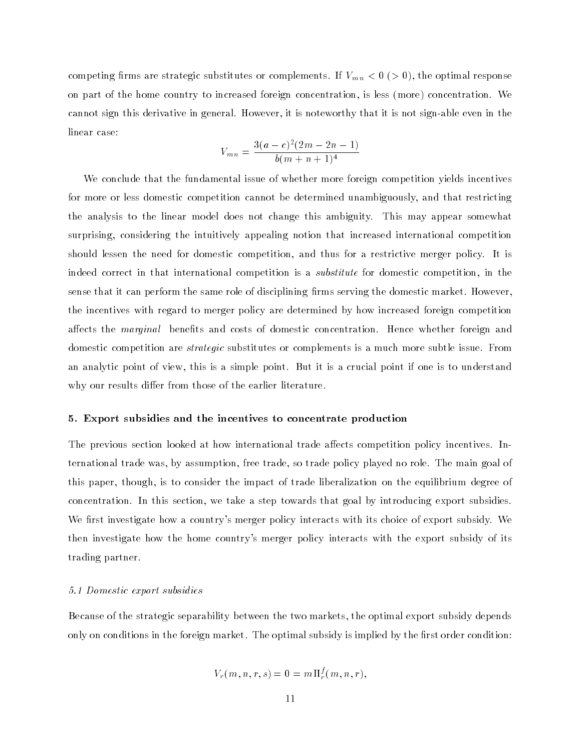rms are strategic substitute or complements. If  $\mathcal{U}$  is the original response or complements. If  $\mathcal{U}$ on part of the home country to increased foreign concentration, is less (more) concentration. We cannot sign this derivative in general. However, it is noteworthy that it is not sign-able even in the linear case:

$$
V_{mn} = \frac{3(a-c)^2(2m-2n-1)}{b(m+n+1)^4}
$$

We conclude that the fundamental issue of whether more foreign competition yields incentives for more or less domestic competition cannot be determined unambiguously, and that restricting the analysis to the linear model does not change this ambiguity. This may appear somewhat surprising, considering the intuitively appealing notion that increased international competition should lessen the need for domestic competition, and thus for a restrictive merger policy. It is indeed correct in that international competition is a substitute for domestic competition, in the sense that it can perform the same role of disciplining firms serving the domestic market. However, the incentives with regard to merger policy are determined by how increased foreign competition affects the *marginal* benefits and costs of domestic concentration. Hence whether foreign and domestic competition are strategic substitutes or complements is a much more subtle issue. From an analytic point of view, this is a simple point. But it is a crucial point if one is to understand why our results differ from those of the earlier literature.

#### 5. Export subsidies and the incentives to concentrate production

The previous section looked at how international trade affects competition policy incentives. International trade was, by assumption, free trade, so trade policy played no role. The main goal of this paper, though, is to consider the impact of trade liberalization on the equilibrium degree of concentration. In this section, we take a step towards that goal by introducing export subsidies. We first investigate how a country's merger policy interacts with its choice of export subsidy. We then investigate how the home country's merger policy interacts with the export subsidy of its trading partner.

#### 5.1 Domestic export subsidies

Because of the strategic separability between the two markets, the optimal export subsidy depends only on conditions in the foreign market. The optimal subsidy is implied by the first order condition:

$$
V_r(m,n,r,s) = 0 = m \Pi_r^f(m,n,r),
$$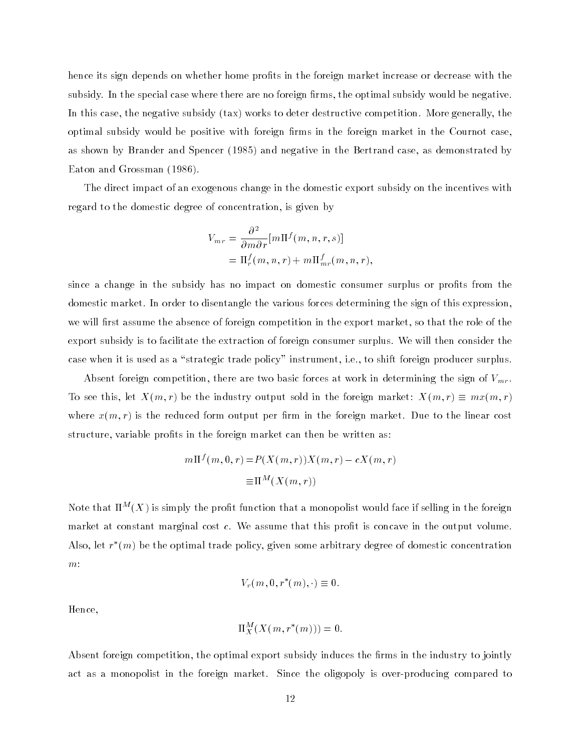hence its sign depends on whether home profits in the foreign market increase or decrease with the subsidy. In the special case where there are no foreign firms, the optimal subsidy would be negative. In this case, the negative subsidy (tax) works to deter destructive competition. More generally, the optimal subsidy would be positive with foreign firms in the foreign market in the Cournot case. as shown by Brander and Spencer (1985) and negative in the Bertrand case, as demonstrated by Eaton and Grossman (1986).

The direct impact of an exogenous change in the domestic export subsidy on the incentives with regard to the domestic degree of concentration, is given by

$$
V_{mr} = \frac{\partial^2}{\partial m \partial r} [m \Pi^f(m, n, r, s)]
$$
  
=  $\Pi_r^f(m, n, r) + m \Pi_{mr}^f(m, n, r),$ 

since a change in the subsidy has no impact on domestic consumer surplus or profits from the domestic market. In order to disentangle the various forces determining the sign of this expression, we will first assume the absence of foreign competition in the export market, so that the role of the export subsidy is to facilitate the extraction of foreign consumer surplus. We will then consider the case when it is used as a "strategic trade policy" instrument, i.e., to shift foreign producer surplus.

Absent for are two basic foreign competition, there are two basic forces at work in determining the sign of  $\Omega$ To see this, let  $X(m, r)$  be the industry output sold in the foreign market:  $X(m, r) \equiv mx(m, r)$ where  $x(m,r)$  is the reduced form output per firm in the foreign market. Due to the linear cost structure, variable profits in the foreign market can then be written as:

$$
m\Pi^{f}(m,0,r) = P(X(m,r))X(m,r) - cX(m,r)
$$

$$
\equiv \Pi^{M}(X(m,r))
$$

Note that  $\Pi^M(X)$  is simply the profit function that a monopolist would face if selling in the foreign market at constant marginal cost  $c$ . We assume that this profit is concave in the output volume. Also, let  $r$  (m) be the optimal trade policy, given some arbitrary degree of domestic concentration  $m$ :

$$
V_r(m,0,r^*(m),\cdot) \equiv 0.
$$

Hence,

$$
\Pi_X^M(X(m,r^*(m)))=0.
$$

Absent foreign competition, the optimal export subsidy induces the firms in the industry to jointly act as a monopolist in the foreign market. Since the oligopoly is over-producing compared to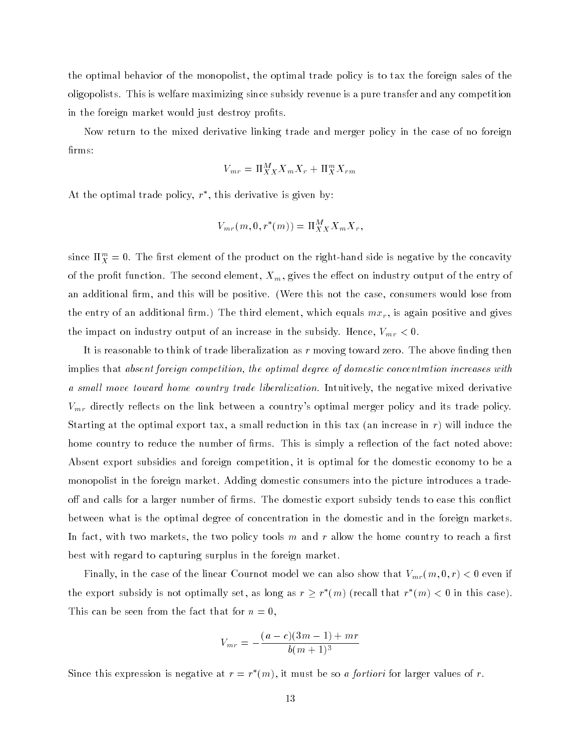the optimal behavior of the monopolist, the optimal trade policy is to tax the foreign sales of the oligopolists. This is welfare maximizing since subsidy revenue is a pure transfer and any competition in the foreign market would just destroy profits.

Now return to the mixed derivative linking trade and merger policy in the case of no foreign firms:

$$
V_{mr} = \Pi_{XX}^M X_m X_r + \Pi_X^m X_{rm}
$$

At the optimal trade policy,  $r$  , this derivative is given by:

$$
V_{mr}(m,0,r^*(m))=\Pi^M_{XX}X_mX_r,
$$

since  $\Pi_X^\infty = 0.$  The first element of the product on the right-hand side is negative by the concavity of the profit function. The second element,  $X_m$ , gives the effect on industry output of the entry of an additional firm, and this will be positive. (Were this not the case, consumers would lose from the entry of an additional results must be the third element, which equals matrix  $\alpha$ the impact on industry output of an increase in the subsidiary. Hence, Vmr  $\alpha$ 

It is reasonable to think of trade liberalization as  $r$  moving toward zero. The above finding then implies that absent foreign competition, the optimal degree of domestic concentration increases with a small move toward home country trade liberalization. Intuitively, the negative mixed derivative  $V_{mr}$  directly reflects on the link between a country's optimal merger policy and its trade policy. Starting at the optimal export tax, a small reduction in this tax (an increase in  $r$ ) will induce the home country to reduce the number of firms. This is simply a reflection of the fact noted above: Absent export subsidies and foreign competition, it is optimal for the domestic economy to be a monopolist in the foreign market. Adding domestic consumers into the picture introduces a tradeoff and calls for a larger number of firms. The domestic export subsidy tends to ease this conflict between what is the optimal degree of concentration in the domestic and in the foreign markets. In fact, with two markets, the two policy tools  $m$  and  $r$  allow the home country to reach a first best with regard to capturing surplus in the foreign market.

Finally, in the case of the linear Cournot model we can also show that  $V_{mr}(m, 0, r) < 0$  even if the export subsidy is not optimally set, as long as  $r > r$  (m) (recall that  $r$  (m)  $<$  0 in this case). This can be seen from the fact that for  $n = 0$ ,

$$
V_{mr} = -\frac{(a-c)(3m-1) + mr}{b(m+1)^3}
$$

Since this expression is negative at  $r = r/(m)$ , it must be so a *fortiori* for larger values of r.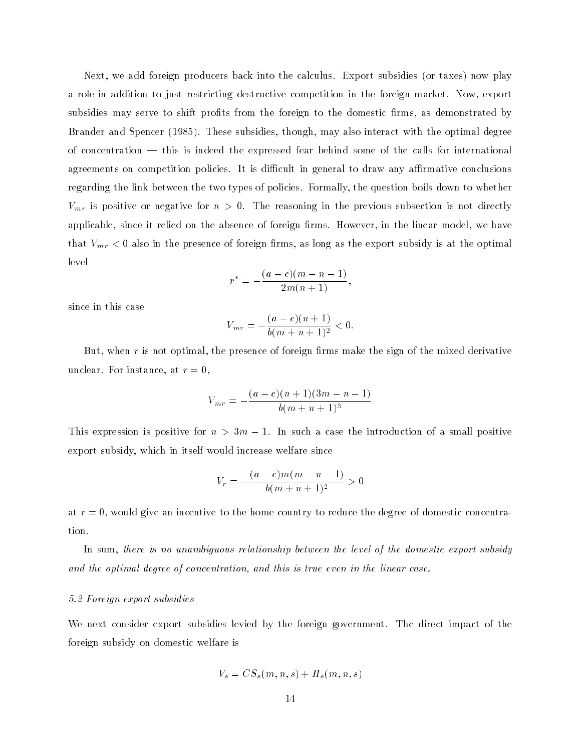Next, we add foreign producers back into the calculus. Export subsidies (or taxes) now play a role in addition to just restricting destructive competition in the foreign market. Now, export subsidies may serve to shift profits from the foreign to the domestic firms, as demonstrated by Brander and Spencer (1985). These subsidies, though, may also interact with the optimal degree of concentration  $-$  this is indeed the expressed fear behind some of the calls for international agreements on competition policies. It is difficult in general to draw any affirmative conclusions regarding the link between the two types of policies. Formally, the question boils down to whether  $V$ mr is positive for negative for negative for negative for  $\alpha$  in the previous subsection is not directly in the previous subsection is not directly in the previous subsection is not directly in the previous subsection applicable, since it relied on the absence of foreign firms. However, in the linear model, we have that  $\mathcal{C}$  is a contract in the presence of foreign  $\mathcal{C}$  is at the exponential is at the optimal is at the optimal is at the optimal is at the optimal is at the optimal is at the optimal is at the optimal is at the level

$$
r^* = -\frac{(a-c)(m-n-1)}{2m(n+1)},
$$

since in this case

$$
V_{mr} = -\frac{(a-c)(n+1)}{b(m+n+1)^2} < 0.
$$

But, when  $r$  is not optimal, the presence of foreign firms make the sign of the mixed derivative unclear. For instance, at  $r=0$ ,

$$
V_{mr} = -\frac{(a-c)(n+1)(3m-n-1)}{b(m+n+1)^3}
$$

This expression is positive for  $n > 3m - 1$ . In such a case the introduction of a small positive export subsidy, which in itself would increase welfare since

$$
V_r = -\frac{(a-c)m(m-n-1)}{b(m+n+1)^2} > 0
$$

at  $r = 0$ , would give an incentive to the home country to reduce the degree of domestic concentration.

In sum, there is no unambiguous relationship between the level of the domestic export subsidy and the optimal degree of concentration, and this is true even in the linear case.

#### 5.2 Foreign export subsidies

We next consider export subsidies levied by the foreign government. The direct impact of the foreign subsidy on domestic welfare is

$$
V_s = CS_s(m, n, s) + H_s(m, n, s)
$$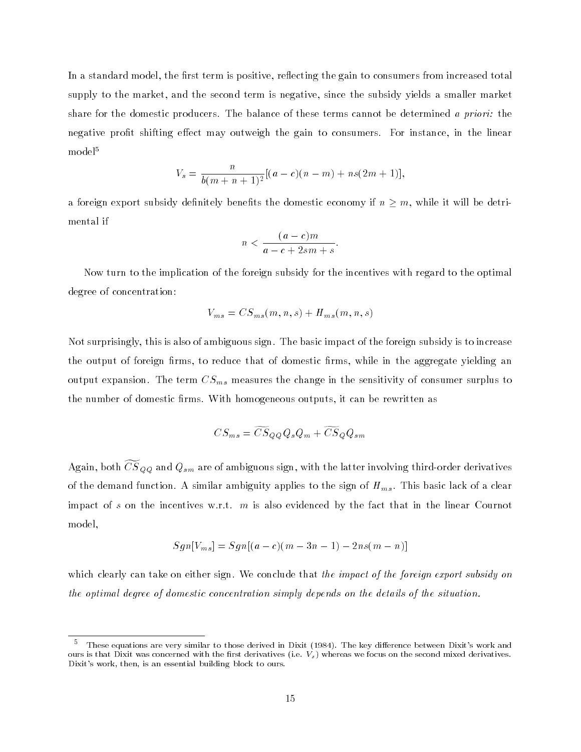In a standard model, the first term is positive, reflecting the gain to consumers from increased total supply to the market, and the second term is negative, since the subsidy yields a smaller market share for the domestic producers. The balance of these terms cannot be determined a priori: the negative profit shifting effect may outweigh the gain to consumers. For instance, in the linear model<sup>5</sup>

$$
V_s = \frac{n}{b(m+n+1)^2} [(a-c)(n-m) + ns(2m+1)],
$$

a foreign export subsidy definitely benefits the domestic economy if  $n \geq m$ , while it will be detrimental if

$$
n < \frac{(a-c)m}{a-c+2sm+s}.
$$

Now turn to the implication of the foreign subsidy for the incentives with regard to the optimal degree of concentration:

$$
V_{ms} = CS_{ms}(m,n,s) + H_{ms}(m,n,s)
$$

Not surprisingly, this is also of ambiguous sign. The basic impact of the foreign subsidy is to increase the output of foreign firms, to reduce that of domestic firms, while in the aggregate yielding an output expansion. The term CSms measures the change in the sensitivity of consumer surplus to the number of domestic firms. With homogeneous outputs, it can be rewritten as

$$
CS_{ms} = \widetilde{CS}_{QQ}Q_sQ_m + \widetilde{CS}_{Q}Q_{sm}
$$

 $\Lambda$ gain, both CDQQ and  $Q_{sm}$  are of ambiguous sign, with the latter involving third-order derivatives of the demand function. A similar ambiguity applies to the sign of  $H_{ms}$ . This basic lack of a clear impact of s on the incentives w.r.t.  $m$  is also evidenced by the fact that in the linear Cournot model,

$$
Sgn[V_{ms}] = Sgn[(a-c)(m-3n-1) - 2ns(m-n)]
$$

which clearly can take on either sign. We conclude that the impact of the foreign export subsidy on the optimal degree of domestic concentration simply depends on the details of the situation.

 $^\circ$  These equations are very similar to those derived in Dixit (1984). The key difference between Dixit's work and ours is that Dixit was concerned with the first derivatives (i.e.  $V_s$ ) whereas we focus on the second mixed derivatives. Dixit's work, then, is an essential building block to ours.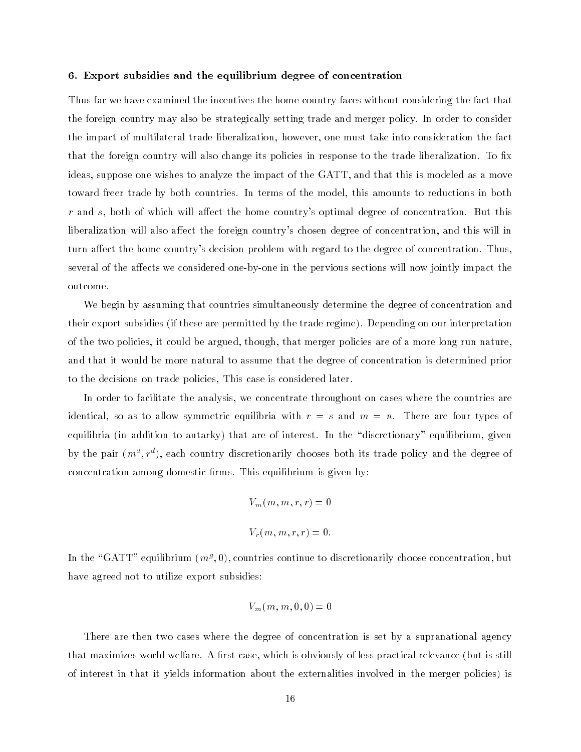#### 6. Export subsidies and the equilibrium degree of concentration

Thus far we have examined the incentives the home country faces without considering the fact that the foreign country may also be strategically setting trade and merger policy. In order to consider the impact of multilateral trade liberalization, however, one must take into consideration the fact that the foreign country will also change its policies in response to the trade liberalization. To fix ideas, suppose one wishes to analyze the impact of the GATT, and that this is modeled as a move toward freer trade by both countries. In terms of the model, this amounts to reductions in both  $r$  and s, both of which will affect the home country's optimal degree of concentration. But this liberalization will also affect the foreign country's chosen degree of concentration, and this will in turn affect the home country's decision problem with regard to the degree of concentration. Thus, several of the affects we considered one-by-one in the pervious sections will now jointly impact the outcome.

We begin by assuming that countries simultaneously determine the degree of concentration and their export subsidies (if these are permitted by the trade regime). Depending on our interpretation of the two policies, it could be argued, though, that merger policies are of a more long run nature, and that it would be more natural to assume that the degree of concentration is determined prior to the decisions on trade policies, This case is considered later.

In order to facilitate the analysis, we concentrate throughout on cases where the countries are identical, so as to allow symmetric equilibria with  $r = s$  and  $m = n$ . There are four types of equilibria (in addition to autarky) that are of interest. In the "discretionary" equilibrium, given by the pair  $(m^*, r^*)$ , each country discretionarily chooses both its trade policy and the degree of  $\overline{\phantom{a}}$ concentration among domestic firms. This equilibrium is given by:

$$
V_m(m, m, r, r) = 0
$$
  

$$
V_r(m, m, r, r) = 0.
$$

In the "GATT" equilibrium (m<sup>g</sup>,U), countries continue to discretionarily choose concentration, but have agreed not to utilize export subsidies:

$$
V_m(m,m,0,0)=0\\
$$

There are then two cases where the degree of concentration is set by a supranational agency that maximizes world welfare. A first case, which is obviously of less practical relevance (but is still of interest in that it yields information about the externalities involved in the merger policies) is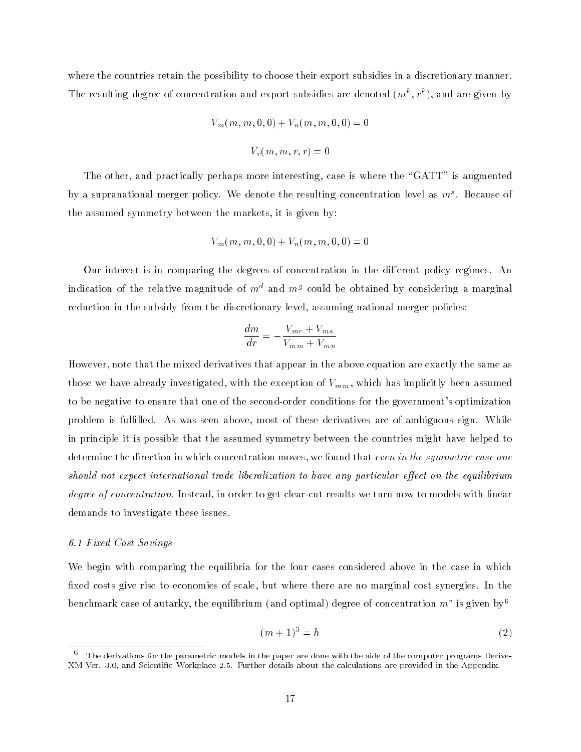where the countries retain the possibility to choose their export subsidies in a discretionary manner. The resulting degree of concentration and export subsidies are denoted  $(m^*, r^*)$ , and are given by

$$
V_m(m, m, 0, 0) + V_n(m, m, 0, 0) = 0
$$

$$
V_r(m, m, r, r) = 0
$$

The other, and practically perhaps more interesting, case is where the "GATT" is augmented by a supranational merger policy. We denote the resulting concentration level as  $m^*$  . Because of the assumed symmetry between the markets, it is given by:

$$
V_m(m,m,0,0)+V_n(m,m,0,0)=0\\
$$

Our interest is in comparing the degrees of concentration in the different policy regimes. An indication of the relative magnitude of  $m<sup>d</sup>$  and  $m<sup>g</sup>$  could be obtained by considering a marginal reduction in the subsidy from the discretionary level, assuming national merger policies:

$$
\frac{dm}{dr} = -\frac{V_{mr} + V_{ms}}{V_{mm} + V_{mn}}
$$

However, note that the mixed derivatives that appear in the above equation are exactly the same as those we have already investigated, with the exception of  $V_{mm}$ , which has implicitly been assumed to be negative to ensure that one of the second-order conditions for the government's optimization problem is fullled. As was seen above, most of these derivatives are of ambiguous sign. While in principle it is possible that the assumed symmetry between the countries might have helped to determine the direction in which concentration moves, we found that even in the symmetric case one should not expect international trade liberalization to have any particular effect on the equilibrium degree of concentration. Instead, in order to get clear-cut results we turn now to models with linear demands to investigate these issues.

#### 6.1 Fixed Cost Savings

We begin with comparing the equilibria for the four cases considered above in the case in which fixed costs give rise to economies of scale, but where there are no marginal cost synergies. In the benchmark case of autarky, the equilibrium (and optimal) degree of concentration  $m^{\ast}$  is given by  $^{\circ}$ 

$$
(m+1)^3 = h \tag{2}
$$

<sup>6</sup> The derivations for the parametric models in the paper are done with the aide of the computer programs Derive- XM Ver. 3.0, and Scientic Workplace 2.5. Further details about the calculations are provided in the Appendix.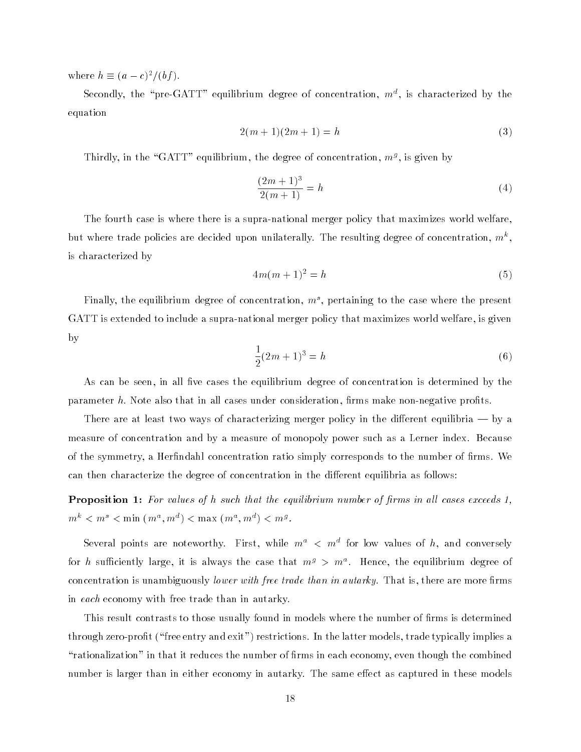where  $h = (a - c)^2/(b)$ .

Secondly, the "pre-GATT" equilibrium degree of concentration,  $m^*$ , is characterized by the equation

$$
2(m+1)(2m+1) = h \tag{3}
$$

I hirdly, in the "GAI I" equilibrium, the degree of concentration,  $m<sup>g</sup>$ , is given by

$$
\frac{(2m+1)^3}{2(m+1)} = h \tag{4}
$$

The fourth case is where there is a supra-national merger policy that maximizes world welfare, but where trade policies are decided upon unilaterally. The resulting degree of concentration,  $m^{\circ}$ , is characterized by

$$
4m(m+1)^2 = h \tag{5}
$$

Finally, the equilibrium degree of concentration,  $m^{\circ}$ , pertaining to the case where the present GATT is extended to include a supra-national merger policy that maximizes world welfare, is given by

$$
\frac{1}{2}(2m+1)^3 = h \tag{6}
$$

As can be seen, in all five cases the equilibrium degree of concentration is determined by the parameter  $h$ . Note also that in all cases under consideration, firms make non-negative profits.

There are at least two ways of characterizing merger policy in the different equilibria  $-$  by a measure of concentration and by a measure of monopoly power such as a Lerner index. Because of the symmetry, a Herfindahl concentration ratio simply corresponds to the number of firms. We can then characterize the degree of concentration in the different equilibria as follows:

**Proposition 1:** For values of  $h$  such that the equilibrium number of firms in all cases exceeds  $1$ ,  $m^{\circ} < m^{\circ} < \min(m^{\circ}, m^{\circ}) < \max(m^{\circ}, m^{\circ}) < m^{\circ}$ .

Several points are noteworthy. First, while  $m^*~<~m^*$  for low values of  $n,$  and conversely for  $n$  sumclently large, it is always the case that  $m^s$   $>$   $m^{\ast}$ . Hence, the equilibrium degree of concentration is unambiguously *lower with free trade than in autarky*. That is, there are more firms in each economy with free trade than in autarky.

This result contrasts to those usually found in models where the number of firms is determined through zero-profit ("free entry and exit") restrictions. In the latter models, trade typically implies a "rationalization" in that it reduces the number of firms in each economy, even though the combined number is larger than in either economy in autarky. The same effect as captured in these models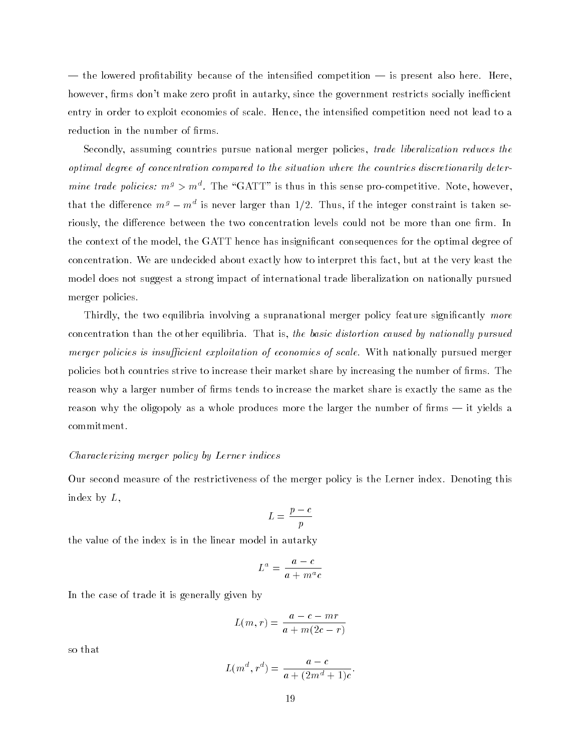— the lowered profitability because of the intensified competition — is present also here. Here, however, firms don't make zero profit in autarky, since the government restricts socially inefficient entry in order to exploit economies of scale. Hence, the intensified competition need not lead to a reduction in the number of firms.

Secondly, assuming countries pursue national merger policies, trade liberalization reduces the optimal degree of concentration compared to the situation where the countries discretionarily deter*mine trade policies: m<sup>3</sup> > m*°. The "GATT" is thus in this sense pro-competitive. Note, however, that the difference  $m^s=m^*$  is never larger than 1/2. Thus, if the integer constraint is taken seriously, the difference between the two concentration levels could not be more than one firm. In the context of the model, the GATT hence has insignicant consequences for the optimal degree of concentration. We are undecided about exactly how to interpret this fact, but at the very least the model does not suggest a strong impact of international trade liberalization on nationally pursued merger policies.

Thirdly, the two equilibria involving a supranational merger policy feature significantly more concentration than the other equilibria. That is, the basic distortion caused by nationally pursued merger policies is insufficient exploitation of economies of scale. With nationally pursued merger policies both countries strive to increase their market share by increasing the number of firms. The reason why a larger number of firms tends to increase the market share is exactly the same as the reason why the oligopoly as a whole produces more the larger the number of firms — it yields a commitment.

#### Characterizing merger policy by Lerner indices

Our second measure of the restrictiveness of the merger policy is the Lerner index. Denoting this index by  $L$ ,

$$
L = \frac{p-c}{p}
$$

the value of the index is in the linear model in autarky

$$
L^a = \frac{a - c}{a + m^a c}
$$

In the case of trade it is generally given by

$$
L(m,r) = \frac{a-c-mr}{a+m(2c-r)}
$$

so that

$$
L(m^d, r^d) = \frac{a - c}{a + (2m^d + 1)c}.
$$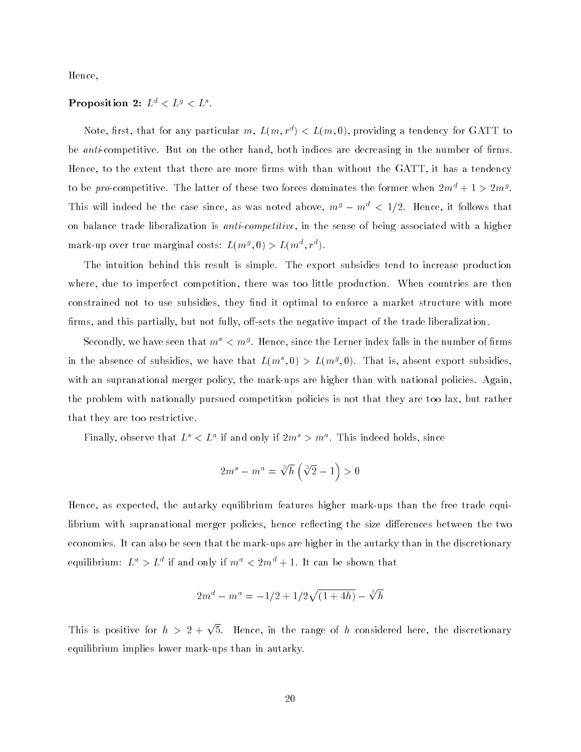Hence,

#### Proposition 2:  $L^* \leq L^* \leq L^*$ .

Note, first, that for any particular m,  $L(m, r^*) < L(m, 0)$ , providing a tendency for GATT to be *anti*-competitive. But on the other hand, both indices are decreasing in the number of firms. Hence, to the extent that there are more firms with than without the GATT, it has a tendency to be pro-competitive. The latter of these two forces dominates the former when  $2m^* + 1 > 2m^g$ . This will indeed be the case since, as was noted above,  $m^g - m^d < 1/2$ . Hence, it follows that on balance trade liberalization is *anti-competitive*, in the sense of being associated with a higher mark-up over true marginal costs:  $L(m^2, 0) > L(m^2, r^2)$ .

The intuition behind this result is simple. The export subsidies tend to increase production where, due to imperfect competition, there was too little production. When countries are then constrained not to use subsidies, they find it optimal to enforce a market structure with more firms, and this partially, but not fully, off-sets the negative impact of the trade liberalization.

Secondly, we have seen that  $m^* < m^s$  . Hence, since the Lerner index falls in the number of firms in the absence of subsidies, we have that  $L(m^*,0) > L(m^s,0)$ . That is, absent export subsidies, with an supranational merger policy, the mark-ups are higher than with national policies. Again, the problem with nationally pursued competition policies is not that they are too lax, but rather that they are too restrictive.

Finally, observe that  $L^{\circ} < L^{\circ}$  if and only if  $2m^{\circ} > m^{\circ}$ . This indeed holds, since

$$
2m^s - m^a = \sqrt[3]{h} \left( \sqrt[3]{2} - 1 \right) > 0
$$

Hence, as expected, the autarky equilibrium features higher mark-ups than the free trade equilibrium with supranational merger policies, hence reflecting the size differences between the two economies. It can also be seen that the mark-ups are higher in the autarky than in the discretionary equilibrium:  $L^* > L^*$  if and only if  $m^* < 2m^* + 1$ . It can be shown that

$$
2m^d - m^a = -1/2 + 1/2\sqrt{(1+4h)} - \sqrt[3]{h}
$$

This is positive for  $h > 2 + \sqrt{5}$ . Hence, in the range of h considered here, the discretionary equilibrium implies lower mark-ups than in autarky.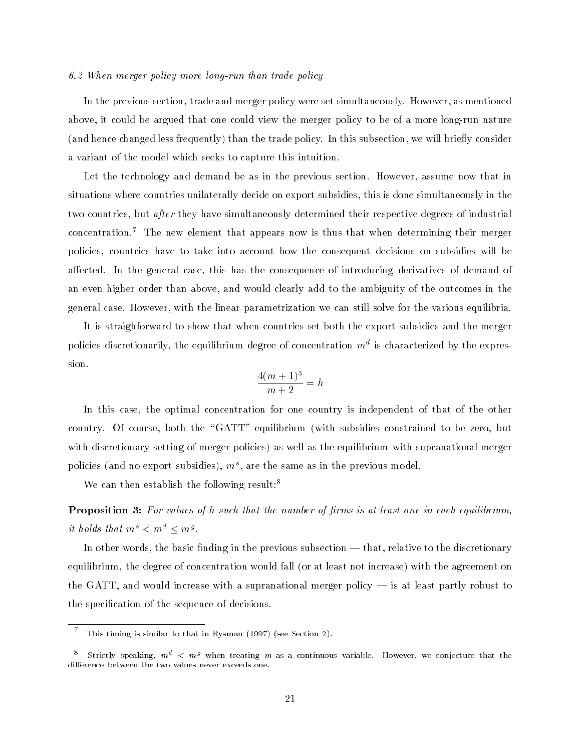#### 6.2 When merger policy more long-run than trade policy

In the previous section, trade and merger policy were set simultaneously. However, as mentioned above, it could be argued that one could view the merger policy to be of a more long-run nature (and hence changed less frequently) than the trade policy. In this subsection, we will briefly consider a variant of the model which seeks to capture this intuition.

Let the technology and demand be as in the previous section. However, assume now that in situations where countries unilaterally decide on export subsidies, this is done simultaneously in the two countries, but after they have simultaneously determined their respective degrees of industrial concentration.<sup>7</sup> The new element that appears now is thus that when determining their merger policies, countries have to take into account how the consequent decisions on subsidies will be affected. In the general case, this has the consequence of introducing derivatives of demand of an even higher order than above, and would clearly add to the ambiguity of the outcomes in the general case. However, with the linear parametrization we can still solve for the various equilibria.

It is straighforward to show that when countries set both the export subsidies and the merger policies discretionarily, the equilibrium degree of concentration  $m^\ast$  is characterized by the expression.

$$
\frac{4(m+1)^3}{m+2} = h
$$

In this case, the optimal concentration for one country is independent of that of the other country. Of course, both the "GATT" equilibrium (with subsidies constrained to be zero, but with discretionary setting of merger policies) as well as the equilibrium with supranational merger policies (and no export subsidies),  $m^{\circ}$ , are the same as in the previous model.

We can then establish the following result:<sup>8</sup>

**Proposition 3:** For values of  $h$  such that the number of firms is at least one in each equilibrium, it holds that  $m^* < m^* < m^*$ .

In other words, the basic finding in the previous subsection — that, relative to the discretionary equilibrium, the degree of concentration would fall (or at least not increase) with the agreement on the GATT, and would increase with a supranational merger policy  $-$  is at least partly robust to the specication of the sequence of decisions.

<sup>7</sup> This timing is similar to that in Rysman (1997) (see Section 2).

 $\overline{\ }$  - Strictly speaking,  $m^{\omega}$   $\lt m^g$  when treating  $m$  as a continuous variable. However, we conjecture that the difference between the two values never exceeds one.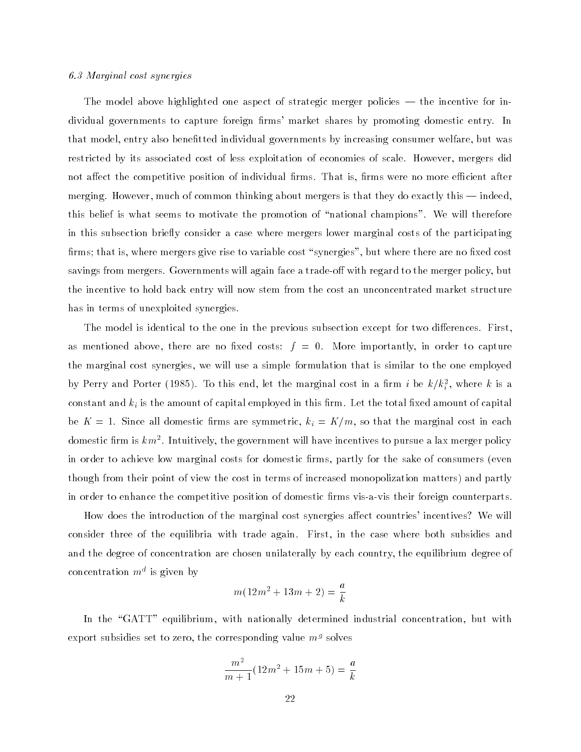#### 6.3 Marginal cost synergies

The model above highlighted one aspect of strategic merger policies  $-$  the incentive for individual governments to capture foreign firms' market shares by promoting domestic entry. In that model, entry also benetted individual governments by increasing consumer welfare, but was restricted by its associated cost of less exploitation of economies of scale. However, mergers did not affect the competitive position of individual firms. That is, firms were no more efficient after merging. However, much of common thinking about mergers is that they do exactly this — indeed, this belief is what seems to motivate the promotion of "national champions". We will therefore in this subsection briefly consider a case where mergers lower marginal costs of the participating firms; that is, where mergers give rise to variable cost "synergies", but where there are no fixed cost savings from mergers. Governments will again face a trade-off with regard to the merger policy, but the incentive to hold back entry will now stem from the cost an unconcentrated market structure has in terms of unexploited synergies.

The model is identical to the one in the previous subsection except for two differences. First, as mentioned above, there are no fixed costs:  $f = 0$ . More importantly, in order to capture the marginal cost synergies, we will use a simple formulation that is similar to the one employed by Perry and Porter (1985). To this end, let the marginal cost in a firm  $i$  be  $\kappa/\kappa^{\pm}_i$ , where  $\kappa$  is a constant and ki is the amount of capital employed in this rm. Let the total xed amount of capital be K  $\sim$  1. Since all domestic all domestic and symmetric symmetric, in each  $\mu$  that the marginal cost in each  $\mu$ domestic firm is  $\kappa m^*$  . Intuitively, the government will have incentives to pursue a lax merger policy in order to achieve low marginal costs for domestic firms, partly for the sake of consumers (even though from their point of view the cost in terms of increased monopolization matters) and partly in order to enhance the competitive position of domestic firms vis-a-vis their foreign counterparts.

How does the introduction of the marginal cost synergies affect countries' incentives? We will consider three of the equilibria with trade again. First, in the case where both subsidies and and the degree of concentration are chosen unilaterally by each country, the equilibrium degree of concentration  $m^*$  is given by

$$
m(12m^2 + 13m + 2) = \frac{a}{k}
$$

In the "GATT" equilibrium, with nationally determined industrial concentration, but with export subsidies set to zero, the corresponding value  $m<sup>s</sup>$  solves

$$
\frac{m^2}{m+1}(12m^2+15m+5) = \frac{a}{k}
$$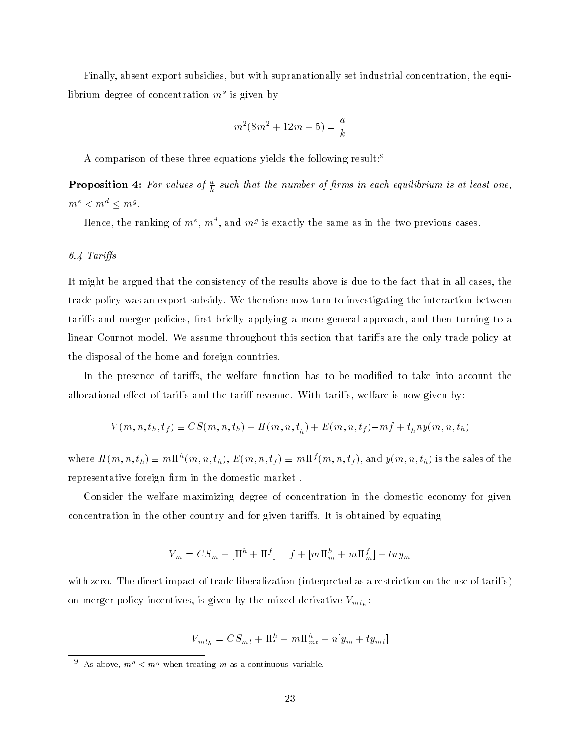Finally, absent export subsidies, but with supranationally set industrial concentration, the equilibrium degree of concentration  $m^{\circ}$  is given by

$$
m^2(8m^2 + 12m + 5) = \frac{a}{k}
$$

A comparison of these three equations yields the following result:<sup>9</sup>

**Proposition 4:** For values of  $\frac{1}{k}$  such that the number of firms in each equilibrium is at least one,  $m^3 < m^3 < m^3$ .

Hence, the ranking of  $m^*$ ,  $m^*$ , and  $m^s$  is exactly the same as in the two previous cases.

# 6.4 Tariffs

It might be argued that the consistency of the results above is due to the fact that in all cases, the trade policy was an export subsidy. We therefore now turn to investigating the interaction between tariffs and merger policies, first briefly applying a more general approach, and then turning to a linear Cournot model. We assume throughout this section that tariffs are the only trade policy at the disposal of the home and foreign countries.

In the presence of tariffs, the welfare function has to be modified to take into account the allocational effect of tariffs and the tariff revenue. With tariffs, welfare is now given by:

$$
V(m, n, t_h, t_f) \equiv CS(m, n, t_h) + H(m, n, t_h) + E(m, n, t_f) - mf + t_h n y(m, n, t_h)
$$

where  $H(m,n,t_h) \equiv m \Pi^{\sim}(m,n,t_h),$   $E(m,n,t_f) \equiv m \Pi^{\gamma}(m,n,t_f),$  and  $y(m,n,t_h)$  is the sales of the representative foreign firm in the domestic market.

Consider the welfare maximizing degree of concentration in the domestic economy for given concentration in the other country and for given tariffs. It is obtained by equating

$$
V_m = CS_m + [\Pi^h + \Pi^f] - f + [m\Pi^h_m + m\Pi^f_m] + tny_m
$$

with zero. The direct impact of trade liberalization (interpreted as a restriction on the use of tariffs) on merger policy incentives, is given by the mixed derivative  $V_{m t_h}$ :

$$
V_{m t_h} = C S_{m t} + \Pi_t^h + m \Pi_{m t}^h + n [y_m + t y_{m t}]
$$

 $\sim$  As above,  $m^{\circ}$   $\lt m^{\circ}$  when treating m as a continuous variable.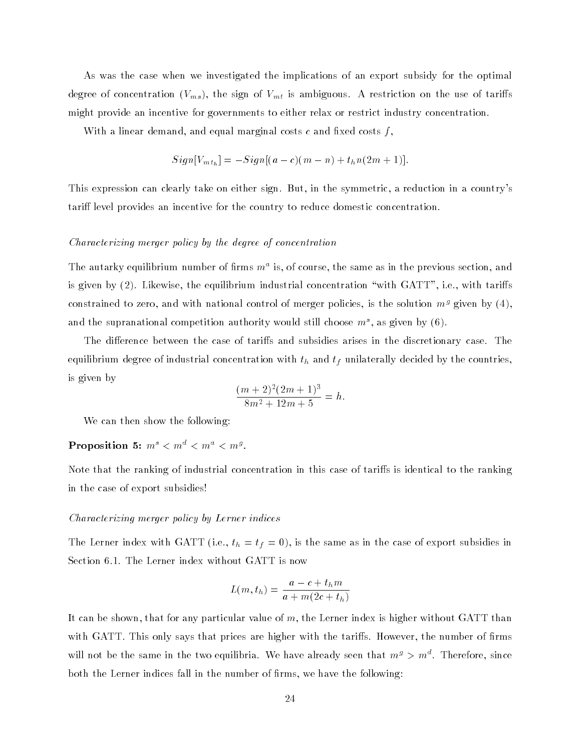As was the case when we investigated the implications of an export subsidy for the optimal degree of concentration (VMS), the sign of VMT is annual sector of the use of the use of taristic might provide an incentive for governments to either relax or restrict industry concentration.

With a linear demand, and equal marginal costs  $c$  and fixed costs  $f$ ,

$$
Sign[V_{mt_h}] = -Sign[(a-c)(m-n) + t_h n(2m+1)].
$$

This expression can clearly take on either sign. But, in the symmetric, a reduction in a country's tariff level provides an incentive for the country to reduce domestic concentration.

#### Characterizing merger policy by the degree of concentration

The autarky equilibrium number of firms  $m^{\ast}$  is, of course, the same as in the previous section, and is given by  $(2)$ . Likewise, the equilibrium industrial concentration "with  $GATT$ ", i.e., with tariffs constrained to zero, and with national control of merger policies, is the solution  $m<sup>g</sup>$  given by (4), and the supranational competition authority would still choose  $m^{\circ},$  as given by (6).

The difference between the case of tariffs and subsidies arises in the discretionary case. The equilibrium degree of industrial concentration with the tip unit tip uniformly decided by the countries, and is given by

$$
\frac{(m+2)^2(2m+1)^3}{8m^2+12m+5} = h.
$$

We can then show the following:

# Proposition 5:  $m^2 < m^2 < m^2 < m^3$ .

Note that the ranking of industrial concentration in this case of tariffs is identical to the ranking in the case of export subsidies!

#### Characterizing merger policy by Lerner indices

The Lerner index with GATT (i.e., the same as in the same as in the case of exponential  $\mathbf{u}$ Section 6.1. The Lerner index without GATT is now

$$
L(m, t_h) = \frac{a - c + t_h m}{a + m(2c + t_h)}
$$

It can be shown, that for any particular value of m, the Lerner index is higher without GATT than with GATT. This only says that prices are higher with the tariffs. However, the number of firms will not be the same in the two equilibria. We have already seen that  $m^s$   $>$   $m^*$  . Therefore, since both the Lerner indices fall in the number of firms, we have the following: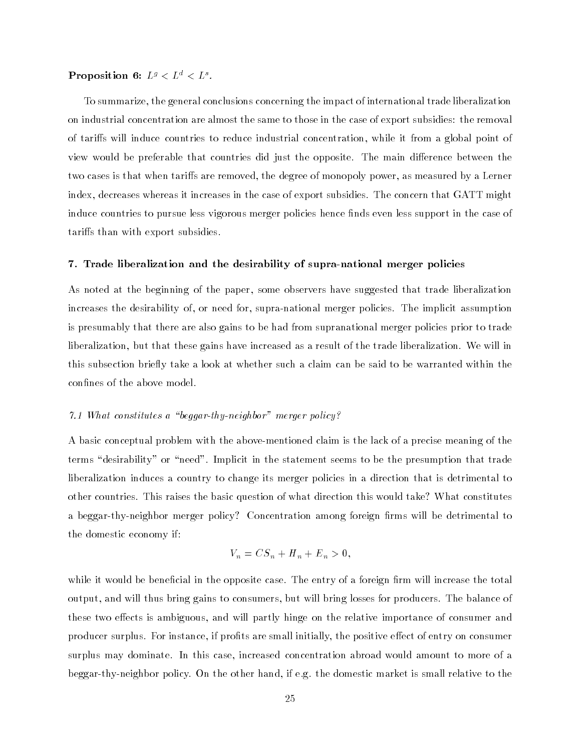## Proposition  $\mathbf{b}: L^s \leq L^{\infty} \leq L^{\infty}$ .

To summarize, the general conclusions concerning the impact of international trade liberalization on industrial concentration are almost the same to those in the case of export subsidies: the removal of tariffs will induce countries to reduce industrial concentration, while it from a global point of view would be preferable that countries did just the opposite. The main difference between the two cases is that when tariffs are removed, the degree of monopoly power, as measured by a Lerner index, decreases whereas it increases in the case of export subsidies. The concern that GATT might induce countries to pursue less vigorous merger policies hence finds even less support in the case of tariffs than with export subsidies.

#### 7. Trade liberalization and the desirability of supra-national merger policies

As noted at the beginning of the paper, some observers have suggested that trade liberalization increases the desirability of, or need for, supra-national merger policies. The implicit assumption is presumably that there are also gains to be had from supranational merger policies prior to trade liberalization, but that these gains have increased as a result of the trade liberalization. We will in this subsection briefly take a look at whether such a claim can be said to be warranted within the confines of the above model.

# 7.1 What constitutes a "beggar-thy-neighbor" merger policy?

A basic conceptual problem with the above-mentioned claim is the lack of a precise meaning of the terms "desirability" or "need". Implicit in the statement seems to be the presumption that trade liberalization induces a country to change its merger policies in a direction that is detrimental to other countries. This raises the basic question of what direction this would take? What constitutes a beggar-thy-neighbor merger policy? Concentration among foreign firms will be detrimental to the domestic economy if:

$$
V_n = CS_n + H_n + E_n > 0,
$$

while it would be beneficial in the opposite case. The entry of a foreign firm will increase the total output, and will thus bring gains to consumers, but will bring losses for producers. The balance of these two effects is ambiguous, and will partly hinge on the relative importance of consumer and producer surplus. For instance, if profits are small initially, the positive effect of entry on consumer surplus may dominate. In this case, increased concentration abroad would amount to more of a beggar-thy-neighbor policy. On the other hand, if e.g. the domestic market is small relative to the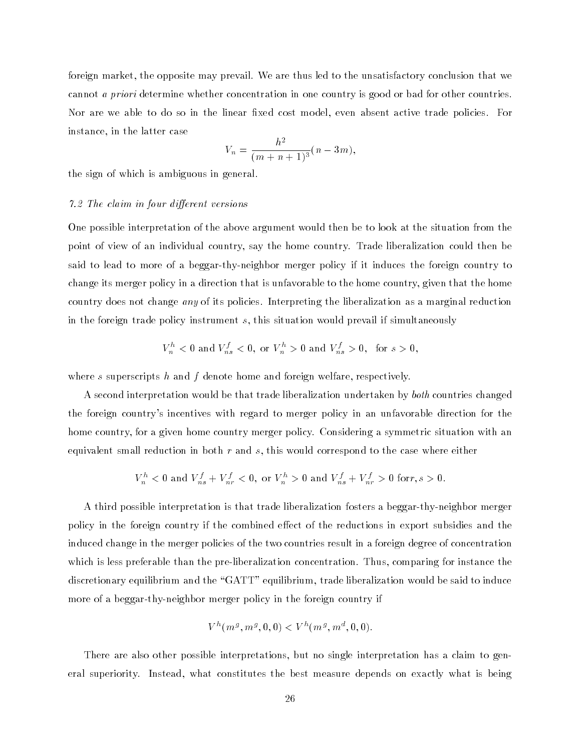foreign market, the opposite may prevail. We are thus led to the unsatisfactory conclusion that we cannot a priori determine whether concentration in one country is good or bad for other countries. Nor are we able to do so in the linear fixed cost model, even absent active trade policies. For instance, in the latter case

$$
V_n = \frac{h^2}{(m+n+1)^3}(n-3m),
$$

the sign of which is ambiguous in general.

# 7.2 The claim in four different versions

One possible interpretation of the above argument would then be to look at the situation from the point of view of an individual country, say the home country. Trade liberalization could then be said to lead to more of a beggar-thy-neighbor merger policy if it induces the foreign country to change its merger policy in a direction that is unfavorable to the home country, given that the home country does not change any of its policies. Interpreting the liberalization as a marginal reduction in the foreign trade policy instrument s, this situation would prevail if simultaneously

$$
V_n^h < 0
$$
 and  $V_{ns}^f < 0$ , or  $V_n^h > 0$  and  $V_{ns}^f > 0$ , for  $s > 0$ ,

where s superscripts  $h$  and  $f$  denote home and foreign welfare, respectively.

A second interpretation would be that trade liberalization undertaken by both countries changed the foreign country's incentives with regard to merger policy in an unfavorable direction for the home country, for a given home country merger policy. Considering a symmetric situation with an equivalent small reduction in both  $r$  and  $s$ , this would correspond to the case where either

$$
V_n^h < 0
$$
 and  $V_{ns}^f + V_{nr}^f < 0$ , or  $V_n^h > 0$  and  $V_{ns}^f + V_{nr}^f > 0$  for  $r, s > 0$ .

A third possible interpretation is that trade liberalization fosters a beggar-thy-neighbor merger policy in the foreign country if the combined effect of the reductions in export subsidies and the induced change in the merger policies of the two countries result in a foreign degree of concentration which is less preferable than the pre-liberalization concentration. Thus, comparing for instance the discretionary equilibrium and the "GATT" equilibrium, trade liberalization would be said to induce more of a beggar-thy-neighbor merger policy in the foreign country if

$$
V^h(m^g,m^g,0,0)
$$

There are also other possible interpretations, but no single interpretation has a claim to general superiority. Instead, what constitutes the best measure depends on exactly what is being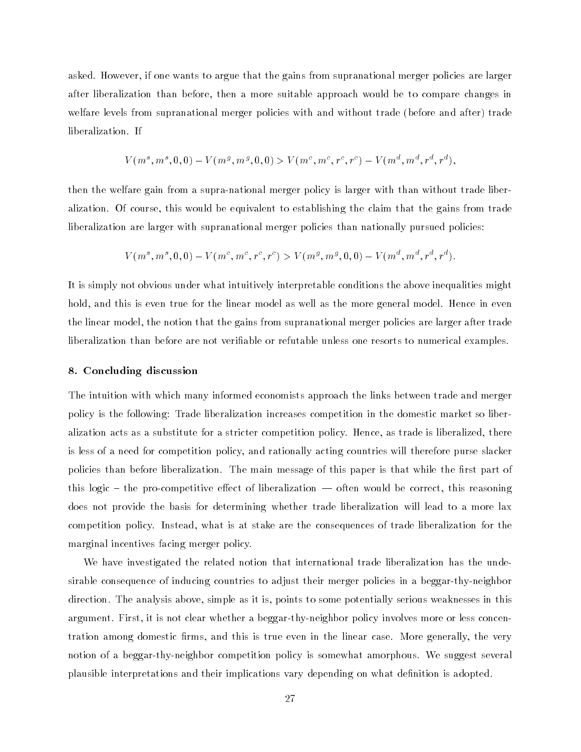asked. However, if one wants to argue that the gains from supranational merger policies are larger after liberalization than before, then a more suitable approach would be to compare changes in welfare levels from supranational merger policies with and without trade (before and after) trade liberalization. If

$$
V(m^s,m^s,0,0)-V(m^g,m^g,0,0)>V(m^c,m^c,r^c,r^c)-V(m^d,m^d,r^d,r^d),\\
$$

then the welfare gain from a supra-national merger policy is larger with than without trade liberalization. Of course, this would be equivalent to establishing the claim that the gains from trade liberalization are larger with supranational merger policies than nationally pursued policies:

$$
V(m^s,m^s,0,0)-V(m^c,m^c,r^c,r^c)>V(m^g,m^g,0,0)-V(m^d,m^d,r^d,r^d).
$$

It is simply not obvious under what intuitively interpretable conditions the above inequalities might hold, and this is even true for the linear model as well as the more general model. Hence in even the linear model, the notion that the gains from supranational merger policies are larger after trade liberalization than before are not veriable or refutable unless one resorts to numerical examples.

# 8. Concluding discussion

The intuition with which many informed economists approach the links between trade and merger policy is the following: Trade liberalization increases competition in the domestic market so liberalization acts as a substitute for a stricter competition policy. Hence, as trade is liberalized, there is less of a need for competition policy, and rationally acting countries will therefore purse slacker policies than before liberalization. The main message of this paper is that while the first part of this logic  $-$  the pro-competitive effect of liberalization  $-$  often would be correct, this reasoning does not provide the basis for determining whether trade liberalization will lead to a more lax competition policy. Instead, what is at stake are the consequences of trade liberalization for the marginal incentives facing merger policy.

We have investigated the related notion that international trade liberalization has the undesirable consequence of inducing countries to adjust their merger policies in a beggar-thy-neighbor direction. The analysis above, simple as it is, points to some potentially serious weaknesses in this argument. First, it is not clear whether a beggar-thy-neighbor policy involves more or less concentration among domestic firms, and this is true even in the linear case. More generally, the very notion of a beggar-thy-neighbor competition policy is somewhat amorphous. We suggest several plausible interpretations and their implications vary depending on what definition is adopted.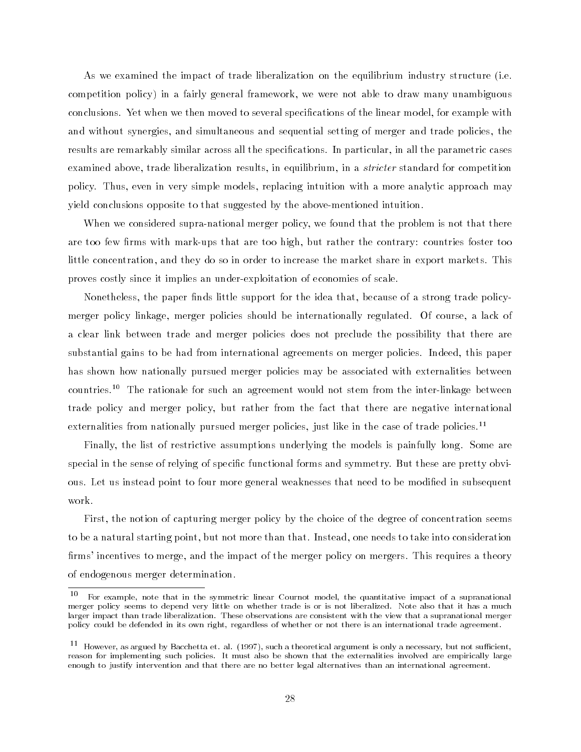As we examined the impact of trade liberalization on the equilibrium industry structure (i.e. competition policy) in a fairly general framework, we were not able to draw many unambiguous conclusions. Yet when we then moved to several specications of the linear model, for example with and without synergies, and simultaneous and sequential setting of merger and trade policies, the results are remarkably similar across all the specications. In particular, in all the parametric cases examined above, trade liberalization results, in equilibrium, in a *stricter* standard for competition policy. Thus, even in very simple models, replacing intuition with a more analytic approach may yield conclusions opposite to that suggested by the above-mentioned intuition.

When we considered supra-national merger policy, we found that the problem is not that there are too few firms with mark-ups that are too high, but rather the contrary: countries foster too little concentration, and they do so in order to increase the market share in export markets. This proves costly since it implies an under-exploitation of economies of scale.

Nonetheless, the paper finds little support for the idea that, because of a strong trade policymerger policy linkage, merger policies should be internationally regulated. Of course, a lack of a clear link between trade and merger policies does not preclude the possibility that there are substantial gains to be had from international agreements on merger policies. Indeed, this paper has shown how nationally pursued merger policies may be associated with externalities between countries.10 The rationale for such an agreement would not stem from the inter-linkage between trade policy and merger policy, but rather from the fact that there are negative international externalities from nationally pursued merger policies, just like in the case of trade policies.<sup>11</sup>

Finally, the list of restrictive assumptions underlying the models is painfully long. Some are special in the sense of relying of specic functional forms and symmetry. But these are pretty obvious. Let us instead point to four more general weaknesses that need to be modified in subsequent work.

First, the notion of capturing merger policy by the choice of the degree of concentration seems to be a natural starting point, but not more than that. Instead, one needs to take into consideration firms' incentives to merge, and the impact of the merger policy on mergers. This requires a theory of endogenous merger determination.

<sup>10</sup> For example, note that in the symmetric linear Cournot model, the quantitative impact of a supranational merger policy seems to depend very little on whether trade is or is not liberalized. Note also that it has a much larger impact than trade liberalization. These observations are consistent with the view that a supranational merger policy could be defended in its own right, regardless of whether or not there is an international trade agreement.

 $^{\circ}$  However, as argued by Bacchetta et. al. (1997), such a theoretical argument is only a necessary, but not sufficient, reason for implementing such policies. It must also be shown that the externalities involved are empirically large enough to justify intervention and that there are no better legal alternatives than an international agreement.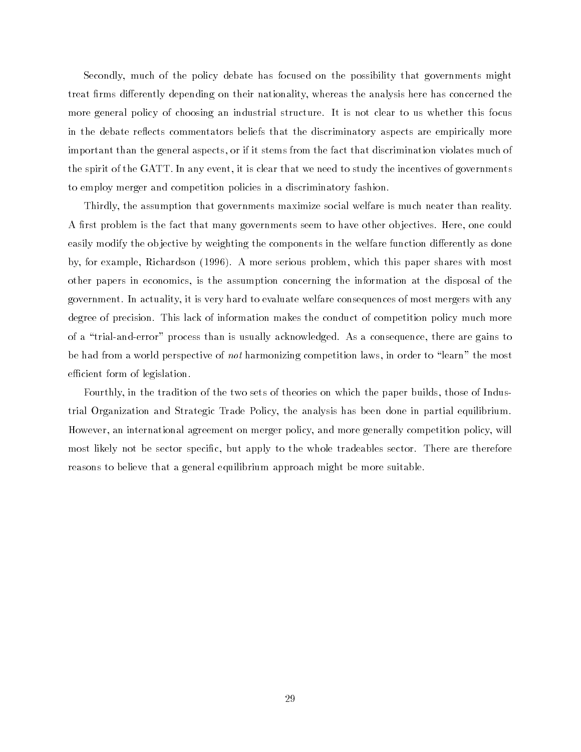Secondly, much of the policy debate has focused on the possibility that governments might treat firms differently depending on their nationality, whereas the analysis here has concerned the more general policy of choosing an industrial structure. It is not clear to us whether this focus in the debate reflects commentators beliefs that the discriminatory aspects are empirically more important than the general aspects, or if it stems from the fact that discrimination violates much of the spirit of the GATT. In any event, it is clear that we need to study the incentives of governments to employ merger and competition policies in a discriminatory fashion.

Thirdly, the assumption that governments maximize social welfare is much neater than reality. A first problem is the fact that many governments seem to have other objectives. Here, one could easily modify the objective by weighting the components in the welfare function differently as done by, for example, Richardson (1996). A more serious problem, which this paper shares with most other papers in economics, is the assumption concerning the information at the disposal of the government. In actuality, it is very hard to evaluate welfare consequences of most mergers with any degree of precision. This lack of information makes the conduct of competition policy much more of a \trial-and-error" process than is usually acknowledged. As a consequence, there are gains to be had from a world perspective of not harmonizing competition laws, in order to "learn" the most efficient form of legislation.

Fourthly, in the tradition of the two sets of theories on which the paper builds, those of Industrial Organization and Strategic Trade Policy, the analysis has been done in partial equilibrium. However, an international agreement on merger policy, and more generally competition policy, will most likely not be sector specic, but apply to the whole tradeables sector. There are therefore reasons to believe that a general equilibrium approach might be more suitable.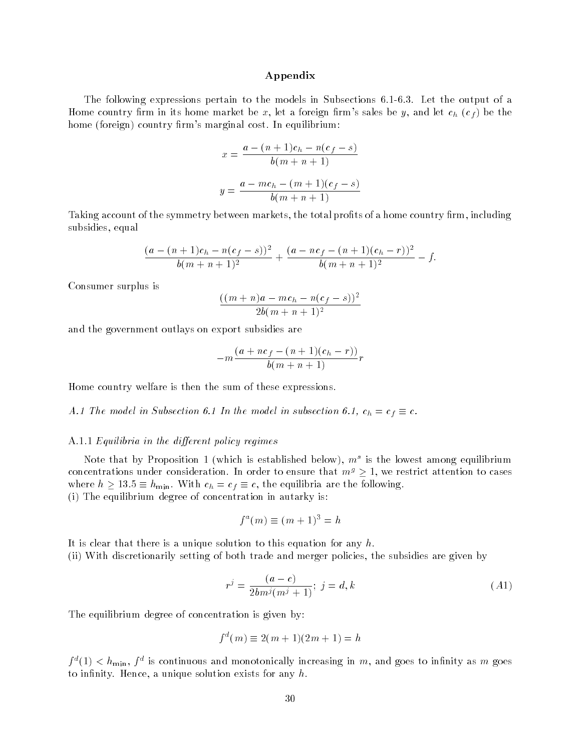#### Appendix

The following expressions pertain to the models in Subsections 6.1-6.3. Let the output of a Home country firm in its home market be x, let a foreign firm's sales be y, and let  $c_h$  ( $c_f$ ) be the home (foreign) country firm's marginal cost. In equilibrium:

$$
x = \frac{a - (n+1)c_h - n(c_f - s)}{b(m+n+1)}
$$

$$
y = \frac{a - mc_h - (m+1)(c_f - s)}{b(m+n+1)}
$$

Taking account of the symmetry between markets, the total profits of a home country firm, including subsidies, equal

$$
\frac{(a - (n+1)c_h - n(c_f - s))^2}{b(m+n+1)^2} + \frac{(a - nc_f - (n+1)(c_h - r))^2}{b(m+n+1)^2} - f.
$$

Consumer surplus is

$$
\frac{((m+n)a - mc_h - n(c_f - s))^2}{2b(m+n+1)^2}
$$

and the government outlays on export subsidies are

$$
-m\frac{(a+nc_f-(n+1)(c_h-r))}{b(m+n+1)}r
$$

Home country welfare is then the sum of these expressions.

A.1 The model in Subsection 6.1 In the model in subsection 6.1, ch = cf = cf = cf

#### A.1.1 Equilibria in the different policy regimes

Note that by Proposition 1 (which is established below),  $m^{\circ}$  is the lowest among equilibrium concentrations under consideration. In order to ensure that  $m<sup>g</sup> \ge 1$ , we restrict attention to cases where  $h \geq 13.5 \equiv h_{\text{min}}$ . With  $c_h = c_f \equiv c$ , the equilibria are the following. (i) The equilibrium degree of concentration in autarky is:

$$
f^a(m) \equiv (m+1)^3 = h
$$

It is clear that there is a unique solution to this equation for any h.

(ii) With discretionarily setting of both trade and merger policies, the subsidies are given by

$$
r^{j} = \frac{(a-c)}{2bm^{j}(m^{j}+1)}; \ j = d, k \tag{A1}
$$

The equilibrium degree of concentration is given by:

$$
f^{d}(m) \equiv 2(m+1)(2m+1) = h
$$

 $f^*(1) < h_{\min}, f^*$  is continuous and monotonically increasing in  $m$ , and goes to infinity as  $m$  goes to infinity. Hence, a unique solution exists for any  $h$ .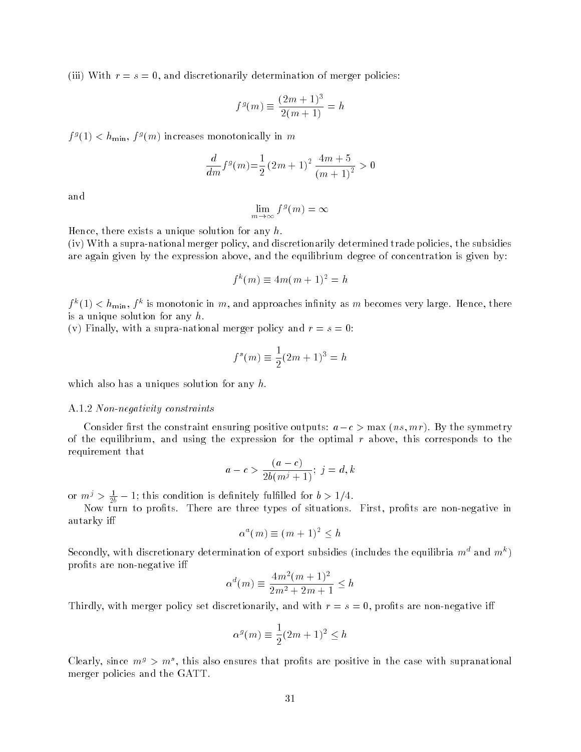(iii) With  $r = s = 0$ , and discretionarily determination of merger policies:

$$
f^{g}(m) \equiv \frac{(2m+1)^{3}}{2(m+1)} = h
$$

 $f^s(1) < h_{\min}, f^s(m)$  increases monotonically in m

$$
\frac{d}{dm}f^g(m) = \frac{1}{2}(2m+1)^2 \frac{4m+5}{(m+1)^2} > 0
$$

and

$$
\lim_{m \to \infty} f^g(m) = \infty
$$

Hence, there exists a unique solution for any  $h$ .

(iv) With a supra-national merger policy, and discretionarily determined trade policies, the subsidies are again given by the expression above, and the equilibrium degree of concentration is given by:

$$
f^k(m) \equiv 4m(m+1)^2 = h
$$

 $f^*(1) < h_{\min}, f^*$  is monotonic in  $m,$  and approaches infinity as  $m$  becomes very large. Hence, there is a unique solution for any  $h$ .

(v) Finally, with a supra-national merger policy and  $r = s = 0$ :

$$
f^{s}(m) \equiv \frac{1}{2}(2m+1)^{3} = h
$$

which also has a uniques solution for any  $h$ .

#### A.1.2 Non-negativity constraints

Consider first the constraint ensuring positive outputs:  $a - c > \max(n, mr)$ . By the symmetry of the equilibrium, and using the expression for the optimal  $r$  above, this corresponds to the requirement that

$$
a - c > \frac{(a - c)}{2b(m^{j} + 1)}; j = d, k
$$

or  $m' > \frac{1}{2b} - 1$ ; this condition is definitely fulfilled for  $b > 1/4$ .

Now turn to prots. There are three types of situations. First, prots are non-negative in autarky i

$$
\alpha^a(m) \equiv (m+1)^2 \leq h
$$

Secondly, with discretionary determination of export subsidies (includes the equilibria  $m^{\ast}$  and  $m^{\ast}$  )  $$ profits are non-negative iff

$$
\alpha^{d}(m) \equiv \frac{4m^{2}(m+1)^{2}}{2m^{2}+2m+1} \leq h
$$

Thirdly, with merger policy set discretionarily, and with  $r = s = 0$ , profits are non-negative iff

$$
\alpha^g(m) \equiv \frac{1}{2}(2m+1)^2 \le h
$$

Clearly, since  $m^s > m^s$ , this also ensures that profits are positive in the case with supranational merger policies and the GATT.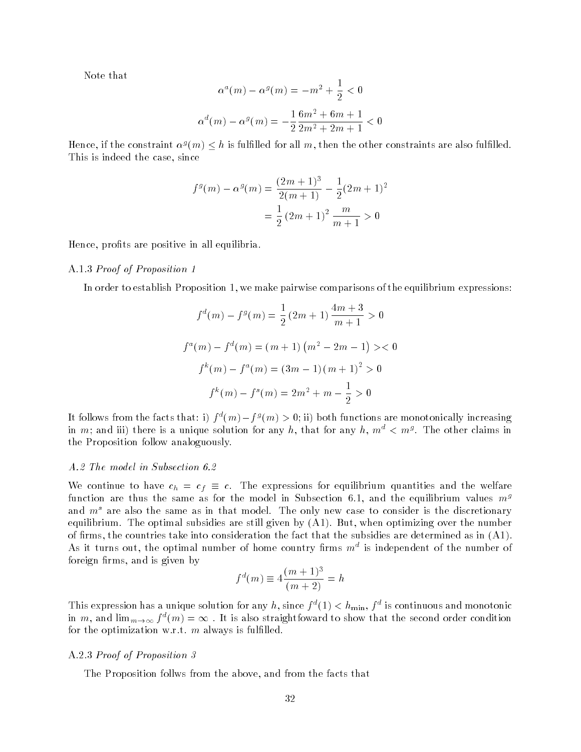Note that

$$
\alpha^{a}(m) - \alpha^{g}(m) = -m^{2} + \frac{1}{2} < 0
$$
  

$$
\alpha^{d}(m) - \alpha^{g}(m) = -\frac{1}{2}\frac{6m^{2} + 6m + 1}{2m^{2} + 2m + 1} < 0
$$

Hence, if the constraint  $\alpha^s(m) \leq n$  is fulfilled for all  $m$ , then the other constraints are also fulfilled. This is indeed the case, since

$$
fg(m) - \alphag(m) = \frac{(2m+1)3}{2(m+1)} - \frac{1}{2}(2m+1)2
$$

$$
= \frac{1}{2}(2m+1)2 \frac{m}{m+1} > 0
$$

Hence, profits are positive in all equilibria.

#### A.1.3 Proof of Proposition 1

In order to establish Proposition 1, we make pairwise comparisons of the equilibrium expressions:

$$
f^{d}(m) - f^{g}(m) = \frac{1}{2} (2m + 1) \frac{4m + 3}{m + 1} > 0
$$
  

$$
f^{a}(m) - f^{d}(m) = (m + 1) (m^{2} - 2m - 1) > 0
$$
  

$$
f^{k}(m) - f^{a}(m) = (3m - 1) (m + 1)^{2} > 0
$$
  

$$
f^{k}(m) - f^{s}(m) = 2m^{2} + m - \frac{1}{2} > 0
$$

It follows from the facts that: 1)  $f^*(m) - f^*(m) > 0$ ; if) both functions are monotonically increasing in  $m;$  and iii) there is a unique solution for any  $n,$  that for any  $n, m^* < m^s.$  I he other claims in the Proposition follow analoguously.

#### A.2 The model in Subsection 6.2

We continue to have continue to have changes for expressions for expressions for equilibrium quantities and the welfare welfare  $\eta$ function are thus the same as for the model in Subsection 6.1, and the equilibrium values  $m<sup>g</sup>$ and  $m<sup>s</sup>$  are also the same as in that model. The only new case to consider is the discretionary equilibrium. The optimal subsidies are still given by (A1). But, when optimizing over the number of firms, the countries take into consideration the fact that the subsidies are determined as in  $(A1)$ . As it turns out, the optimal number of home country firms  $m^\ast$  is independent of the number of foreign firms, and is given by

$$
f^d(m) \equiv 4 \frac{(m+1)^3}{(m+2)} = h
$$

This expression has a unique solution for any h, since  $f^*(1) < h_{\min}, f^*$  is continuous and monotonic in  $m,$  and  $\lim_{m\to\infty}f^*(m)=\infty$  . It is also straightfoward to show that the second order condition for the optimization w.r.t.  $m$  always is fulfilled.

#### A.2.3 Proof of Proposition 3

The Proposition follws from the above, and from the facts that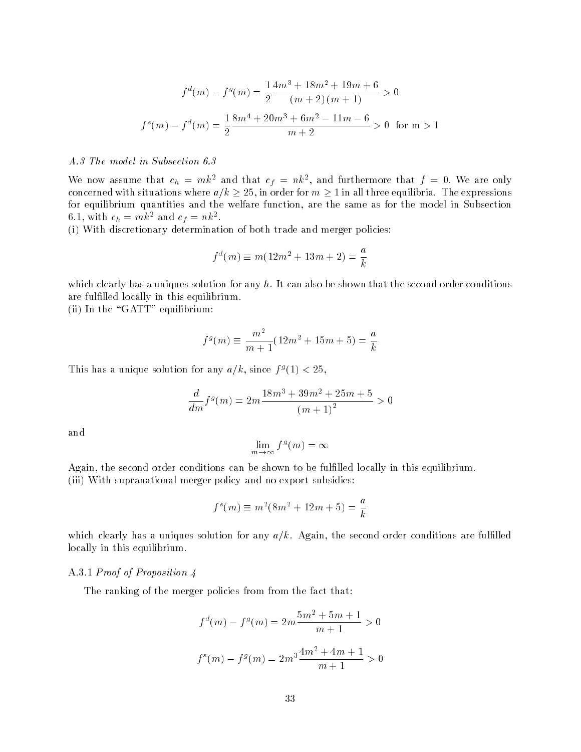$$
f^{d}(m) - f^{g}(m) = \frac{1}{2} \frac{4m^{3} + 18m^{2} + 19m + 6}{(m+2)(m+1)} > 0
$$
  

$$
f^{s}(m) - f^{d}(m) = \frac{1}{2} \frac{8m^{4} + 20m^{3} + 6m^{2} - 11m - 6}{m+2} > 0 \text{ for } m > 1
$$

#### A.3 The model in Subsection 6.3

We now assume that  $c_h = m\kappa^2$  and that  $c_f = n\kappa^2$ , and furthermore that  $f = 0$ . We are only concerned with situations where  $a/k \ge 25$ , in order for  $m \ge 1$  in all three equilibria. The expressions for equilibrium quantities and the welfare function, are the same as for the model in Subsection 0.1, with  $c_h = m\kappa^2$  and  $c_f = n\kappa^2$ .

(i) With discretionary determination of both trade and merger policies:

$$
f^{d}(m) \equiv m(12m^{2} + 13m + 2) = \frac{a}{k}
$$

which clearly has a uniques solution for any  $h$ . It can also be shown that the second order conditions are fulfilled locally in this equilibrium.

(ii) In the "GATT" equilibrium:

$$
f^g(m) \equiv \frac{m^2}{m+1}(12m^2 + 15m + 5) = \frac{a}{k}
$$

I his has a unique solution for any  $a/k$ , since  $f^s(1) < 25$ ,

$$
\frac{d}{dm}f^g(m) = 2m\frac{18m^3 + 39m^2 + 25m + 5}{(m+1)^2} > 0
$$

and

$$
\lim_{m \to \infty} f^g(m) = \infty
$$

Again, the second order conditions can be shown to be fulfilled locally in this equilibrium. (iii) With supranational merger policy and no export subsidies:

$$
f^{s}(m) \equiv m^{2}(8m^{2} + 12m + 5) = \frac{a}{k}
$$

which clearly has a uniques solution for any  $a/k$ . Again, the second order conditions are fulfilled locally in this equilibrium.

# A.3.1 *Proof of Proposition 4*

The ranking of the merger policies from from the fact that:

$$
f^{d}(m) - f^{g}(m) = 2m \frac{5m^{2} + 5m + 1}{m + 1} > 0
$$
  

$$
f^{s}(m) - f^{g}(m) = 2m^{3} \frac{4m^{2} + 4m + 1}{m + 1} > 0
$$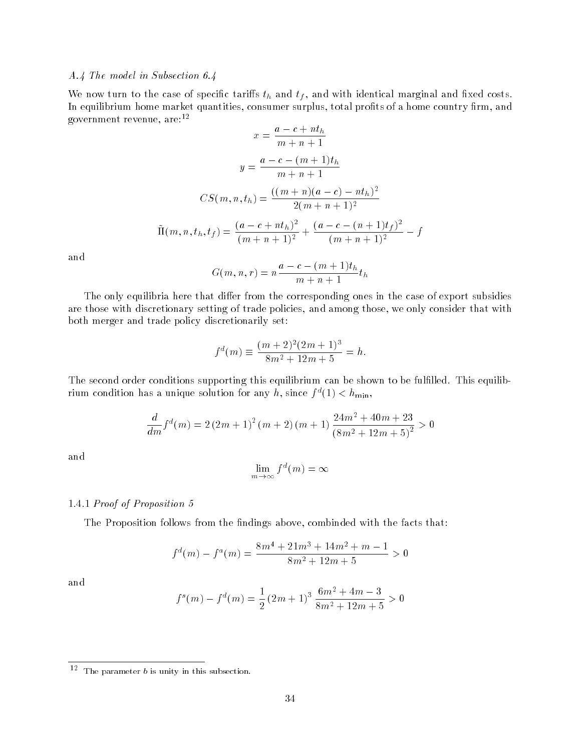# A.4 The model in Subsection 6.4

which is the case of the case of specific taristic theory  $\mu$  and with  $\mu$  and with marginal and marginal marginal matrix In equilibrium home market quantities, consumer surplus, total profits of a home country firm, and government revenue, are:12  $\mathbf{r}$  $\sim$   $\overline{4}$ 

$$
x = \frac{a - c + nt_h}{m + n + 1}
$$

$$
y = \frac{a - c - (m + 1)t_h}{m + n + 1}
$$

$$
CS(m, n, t_h) = \frac{((m + n)(a - c) - nt_h)^2}{2(m + n + 1)^2}
$$

$$
\tilde{\Pi}(m, n, t_h, t_f) = \frac{(a - c + nt_h)^2}{(m + n + 1)^2} + \frac{(a - c - (n + 1)t_f)^2}{(m + n + 1)^2} - f
$$

and

$$
G(m, n, r) = n \frac{a - c - (m + 1)t_h}{m + n + 1} t_h
$$

The only equilibria here that differ from the corresponding ones in the case of export subsidies are those with discretionary setting of trade policies, and among those, we only consider that with both merger and trade policy discretionarily set:

$$
f^{d}(m) \equiv \frac{(m+2)^{2}(2m+1)^{3}}{8m^{2}+12m+5} = h.
$$

The second order conditions supporting this equilibrium can be shown to be fulfilled. This equilibrium condition has a unique solution for any h, since  $f^*(1) < h_{\min}$ ,

$$
\frac{d}{dm}f^d(m) = 2(2m+1)^2(m+2)(m+1)\frac{24m^2+40m+23}{(8m^2+12m+5)^2} > 0
$$

and

$$
\lim_{m \to \infty} f^d(m) = \infty
$$

### 1.4.1 Proof of Proposition 5

The Proposition follows from the findings above, combinded with the facts that:

$$
f^{d}(m) - f^{a}(m) = \frac{8m^{4} + 21m^{3} + 14m^{2} + m - 1}{8m^{2} + 12m + 5} > 0
$$

and

$$
f^{s}(m) - f^{d}(m) = \frac{1}{2} (2m+1)^{3} \frac{6m^{2} + 4m - 3}{8m^{2} + 12m + 5} > 0
$$

 $\overline{\phantom{a}}$  The parameter b is unity in this subsection.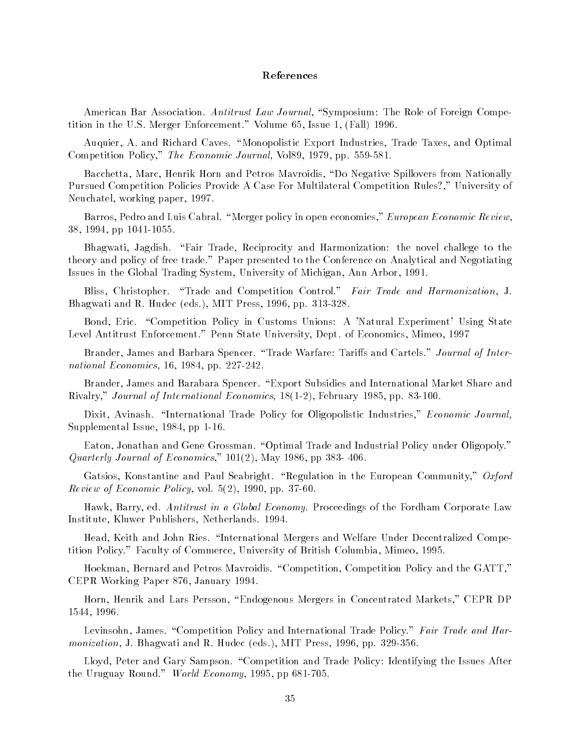#### References

American Bar Association. Antitrust Law Journal, "Symposium: The Role of Foreign Competition in the U.S. Merger Enforcement." Volume 65, Issue 1, (Fall) 1996.

Auquier, A. and Richard Caves. \Monopolistic Export Industries, Trade Taxes, and Optimal Competition Policy," The Economic Journal, Vol89, 1979, pp. 559-581.

Bacchetta, Marc, Henrik Horn and Petros Mavroidis, "Do Negative Spillovers from Nationally Pursued Competition Policies Provide A Case For Multilateral Competition Rules?," University of Neuchatel, working paper, 1997.

Barros, Pedro and Luis Cabral. "Merger policy in open economies," *European Economic Review*, 38, 1994, pp 1041-1055.

Bhagwati, Jagdish. "Fair Trade, Reciprocity and Harmonization: the novel challege to the theory and policy of free trade." Paper presented to the Conference on Analytical and Negotiating Issues in the Global Trading System, University of Michigan, Ann Arbor, 1991.

Bliss, Christopher. "Trade and Competition Control." Fair Trade and Harmonization, J. Bhagwati and R. Hudec (eds.), MIT Press, 1996, pp. 313-328.

Bond, Eric. "Competition Policy in Customs Unions: A 'Natural Experiment' Using State Level Antitrust Enforcement." Penn State University, Dept. of Economics, Mimeo, 1997

Brander, James and Barbara Spencer. "Trade Warfare: Tariffs and Cartels." *Journal of Inter*national Economics, 16, 1984, pp. 227-242.

Brander, James and Barabara Spencer. "Export Subsidies and International Market Share and Rivalry," Journal of International Economics, 18(1-2), February 1985, pp. 83-100.

Dixit, Avinash. "International Trade Policy for Oligopolistic Industries," Economic Journal, Supplemental Issue, 1984, pp 1-16.

Eaton, Jonathan and Gene Grossman. "Optimal Trade and Industrial Policy under Oligopoly." Quarterly Journal of Economics,"  $101(2)$ , May 1986, pp 383-406.

Gatsios, Konstantine and Paul Seabright. "Regulation in the European Community," Oxford *Review of Economic Policy*, vol.  $5(2)$ , 1990, pp. 37-60.

Hawk, Barry, ed. Antitrust in a Global Economy. Proceedings of the Fordham Corporate Law Institute, Kluwer Publishers, Netherlands. 1994.

Head, Keith and John Ries. \International Mergers and Welfare Under Decentralized Competition Policy." Faculty of Commerce, University of British Columbia, Mimeo, 1995.

Hoekman, Bernard and Petros Mavroidis. "Competition, Competition Policy and the GATT," CEPR Working Paper 876, January 1994.

Horn, Henrik and Lars Persson, \Endogenous Mergers in Concentrated Markets," CEPR DP 1544, 1996.

Levinsohn, James. "Competition Policy and International Trade Policy." Fair Trade and Harmonization, J. Bhagwati and R. Hudec (eds.), MIT Press, 1996, pp. 329-356.

Lloyd, Peter and Gary Sampson. "Competition and Trade Policy: Identifying the Issues After the Uruguay Round." World Economy, 1995, pp 681-705.